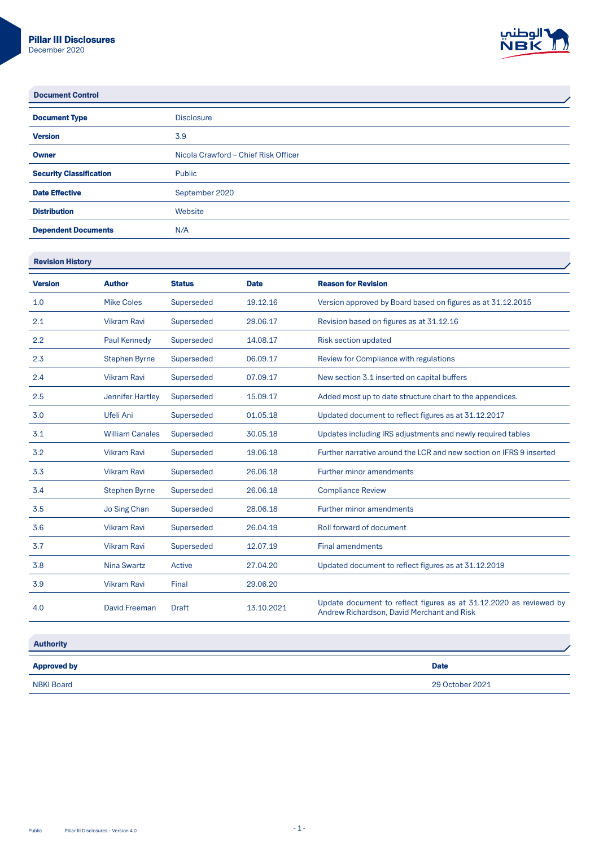

l.

Document Control

| <b>Document Type</b>           | <b>Disclosure</b>                    |
|--------------------------------|--------------------------------------|
| <b>Version</b>                 | 3.9                                  |
| <b>Owner</b>                   | Nicola Crawford - Chief Risk Officer |
| <b>Security Classification</b> | Public                               |
| <b>Date Effective</b>          | September 2020                       |
| <b>Distribution</b>            | Website                              |
| <b>Dependent Documents</b>     | N/A                                  |

**Revision History** 

| <b>Version</b> | <b>Author</b>          | <b>Status</b> | <b>Date</b> | <b>Reason for Revision</b>                                                                                       |
|----------------|------------------------|---------------|-------------|------------------------------------------------------------------------------------------------------------------|
| 1.0            | Mike Coles             | Superseded    | 19.12.16    | Version approved by Board based on figures as at 31.12.2015                                                      |
| 2.1            | <b>Vikram Ravi</b>     | Superseded    | 29.06.17    | Revision based on figures as at 31.12.16                                                                         |
| 2.2            | Paul Kennedy           | Superseded    | 14.08.17    | Risk section updated                                                                                             |
| 2.3            | <b>Stephen Byrne</b>   | Superseded    | 06.09.17    | Review for Compliance with regulations                                                                           |
| 2.4            | <b>Vikram Ravi</b>     | Superseded    | 07.09.17    | New section 3.1 inserted on capital buffers                                                                      |
| 2.5            | Jennifer Hartley       | Superseded    | 15.09.17    | Added most up to date structure chart to the appendices.                                                         |
| 3.0            | Ufeli Ani              | Superseded    | 01.05.18    | Updated document to reflect figures as at 31.12.2017                                                             |
| 3.1            | <b>William Canales</b> | Superseded    | 30.05.18    | Updates including IRS adjustments and newly required tables                                                      |
| 3.2            | <b>Vikram Ravi</b>     | Superseded    | 19.06.18    | Further narrative around the LCR and new section on IFRS 9 inserted                                              |
| 3.3            | <b>Vikram Ravi</b>     | Superseded    | 26.06.18    | Further minor amendments                                                                                         |
| 3.4            | <b>Stephen Byrne</b>   | Superseded    | 26.06.18    | <b>Compliance Review</b>                                                                                         |
| 3.5            | Jo Sing Chan           | Superseded    | 28.06.18    | Further minor amendments                                                                                         |
| 3.6            | <b>Vikram Ravi</b>     | Superseded    | 26.04.19    | Roll forward of document                                                                                         |
| 3.7            | <b>Vikram Ravi</b>     | Superseded    | 12.07.19    | <b>Final amendments</b>                                                                                          |
| 3.8            | Nina Swartz            | Active        | 27.04.20    | Updated document to reflect figures as at 31.12.2019                                                             |
| 3.9            | <b>Vikram Ravi</b>     | Final         | 29.06.20    |                                                                                                                  |
| 4.0            | <b>David Freeman</b>   | <b>Draft</b>  | 13.10.2021  | Update document to reflect figures as at 31.12.2020 as reviewed by<br>Andrew Richardson, David Merchant and Risk |

| <b>Authority</b>   |                 |
|--------------------|-----------------|
| <b>Approved by</b> | <b>Date</b>     |
| <b>NBKI Board</b>  | 29 October 2021 |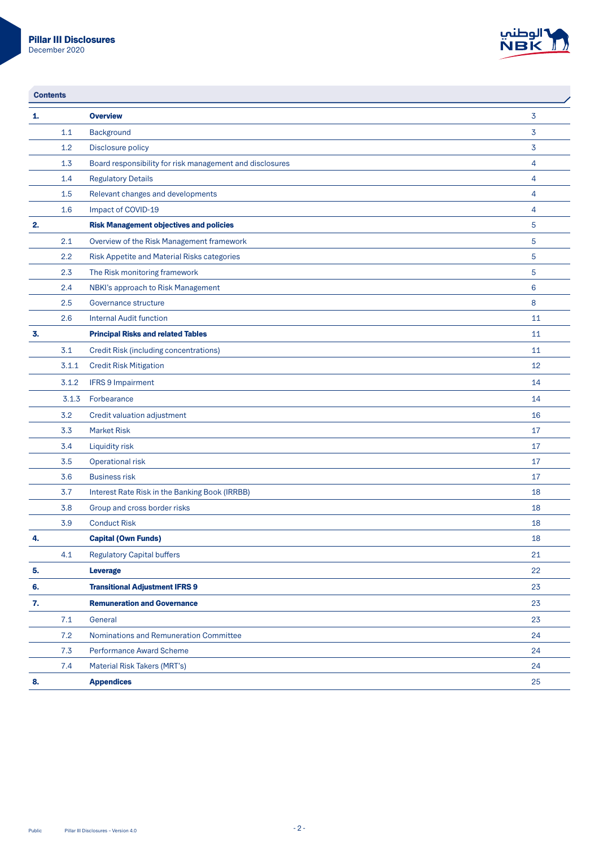

| <b>Contents</b> |       |                                                          |                |
|-----------------|-------|----------------------------------------------------------|----------------|
| 1.              |       | <b>Overview</b>                                          | $\overline{3}$ |
|                 | 1.1   | Background                                               | 3              |
|                 | 1.2   | Disclosure policy                                        | 3              |
|                 | 1.3   | Board responsibility for risk management and disclosures | $\overline{4}$ |
|                 | 1.4   | <b>Regulatory Details</b>                                | $\overline{4}$ |
|                 | 1.5   | Relevant changes and developments                        | $\overline{4}$ |
|                 | 1.6   | Impact of COVID-19                                       | $\overline{4}$ |
| 2.              |       | <b>Risk Management objectives and policies</b>           | 5              |
|                 | 2.1   | Overview of the Risk Management framework                | 5              |
|                 | 2.2   | Risk Appetite and Material Risks categories              | 5              |
|                 | 2.3   | The Risk monitoring framework                            | 5              |
|                 | 2.4   | NBKI's approach to Risk Management                       | 6              |
|                 | 2.5   | Governance structure                                     | 8              |
|                 | 2.6   | <b>Internal Audit function</b>                           | 11             |
| 3.              |       | <b>Principal Risks and related Tables</b>                | 11             |
|                 | 3.1   | Credit Risk (including concentrations)                   | 11             |
|                 | 3.1.1 | <b>Credit Risk Mitigation</b>                            | 12             |
|                 | 3.1.2 | <b>IFRS 9 Impairment</b>                                 | 14             |
|                 | 3.1.3 | Forbearance                                              | 14             |
|                 | 3.2   | Credit valuation adjustment                              | 16             |
|                 | 3.3   | <b>Market Risk</b>                                       | 17             |
|                 | 3.4   | Liquidity risk                                           | 17             |
|                 | 3.5   | Operational risk                                         | 17             |
|                 | 3.6   | <b>Business risk</b>                                     | 17             |
|                 | 3.7   | Interest Rate Risk in the Banking Book (IRRBB)           | 18             |
|                 | 3.8   | Group and cross border risks                             | 18             |
|                 | 3.9   | <b>Conduct Risk</b>                                      | 18             |
| 4.              |       | <b>Capital (Own Funds)</b>                               | 18             |
|                 | 4.1   | <b>Regulatory Capital buffers</b>                        | 21             |
| 5.              |       | Leverage                                                 | 22             |
| 6.              |       | <b>Transitional Adjustment IFRS 9</b>                    | 23             |
| 7.              |       | <b>Remuneration and Governance</b>                       | 23             |
|                 | 7.1   | General                                                  | 23             |
|                 | 7.2   | Nominations and Remuneration Committee                   | 24             |
|                 | 7.3   | Performance Award Scheme                                 | 24             |
|                 | 7.4   | Material Risk Takers (MRT's)                             | 24             |
| 8.              |       | <b>Appendices</b>                                        | 25             |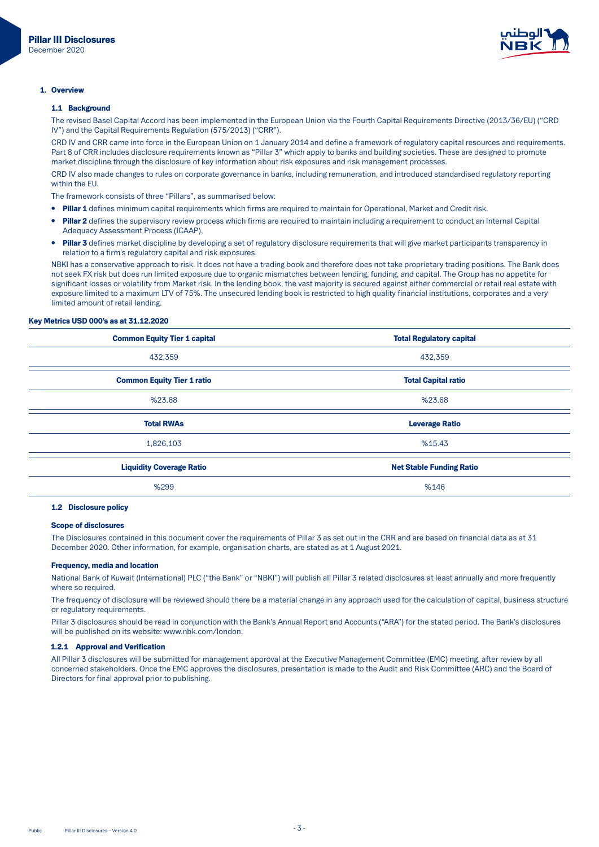

#### 1. Overview

#### 1.1 Background

The revised Basel Capital Accord has been implemented in the European Union via the Fourth Capital Requirements Directive (2013/36/EU) ("CRD IV") and the Capital Requirements Regulation (575/2013) ("CRR").

CRD IV and CRR came into force in the European Union on 1 January 2014 and define a framework of regulatory capital resources and requirements. Part 8 of CRR includes disclosure requirements known as "Pillar 3" which apply to banks and building societies. These are designed to promote market discipline through the disclosure of key information about risk exposures and risk management processes.

CRD IV also made changes to rules on corporate governance in banks, including remuneration, and introduced standardised regulatory reporting within the FU.

The framework consists of three "Pillars", as summarised below:

- Pillar 1 defines minimum capital requirements which firms are required to maintain for Operational, Market and Credit risk.
- Pillar 2 defines the supervisory review process which firms are required to maintain including a requirement to conduct an Internal Capital Adequacy Assessment Process (ICAAP).
- Pillar 3 defines market discipline by developing a set of regulatory disclosure requirements that will give market participants transparency in relation to a firm's regulatory capital and risk exposures.

NBKI has a conservative approach to risk. It does not have a trading book and therefore does not take proprietary trading positions. The Bank does not seek FX risk but does run limited exposure due to organic mismatches between lending, funding, and capital. The Group has no appetite for significant losses or volatility from Market risk. In the lending book, the vast majority is secured against either commercial or retail real estate with exposure limited to a maximum LTV of 75%. The unsecured lending book is restricted to high quality financial institutions, corporates and a very limited amount of retail lending.

#### Key Metrics USD 000's as at 31.12.2020

| <b>Common Equity Tier 1 capital</b> | <b>Total Regulatory capital</b> |
|-------------------------------------|---------------------------------|
| 432,359                             | 432,359                         |
| <b>Common Equity Tier 1 ratio</b>   | <b>Total Capital ratio</b>      |
| %23.68                              | %23.68                          |
| <b>Total RWAs</b>                   | <b>Leverage Ratio</b>           |
| 1,826,103                           | %15.43                          |
| <b>Liquidity Coverage Ratio</b>     | <b>Net Stable Funding Ratio</b> |
| %299                                | %146                            |

## 1.2 Disclosure policy

## **Scope of disclosures**

The Disclosures contained in this document cover the requirements of Pillar 3 as set out in the CRR and are based on financial data as at 31 December 2020. Other information, for example, organisation charts, are stated as at 1 August 2021.

#### Frequency, media and location

National Bank of Kuwait (International) PLC ("the Bank" or "NBKI") will publish all Pillar 3 related disclosures at least annually and more frequently where so required

The frequency of disclosure will be reviewed should there be a material change in any approach used for the calculation of capital, business structure or regulatory requirements.

Pillar 3 disclosures should be read in conjunction with the Bank's Annual Report and Accounts ("ARA") for the stated period. The Bank's disclosures will be published on its website: www.nbk.com/london.

## 1.2.1 Approval and Verification

All Pillar 3 disclosures will be submitted for management approval at the Executive Management Committee (EMC) meeting, after review by all concerned stakeholders. Once the EMC approves the disclosures, presentation is made to the Audit and Risk Committee (ARC) and the Board of Directors for final approval prior to publishing.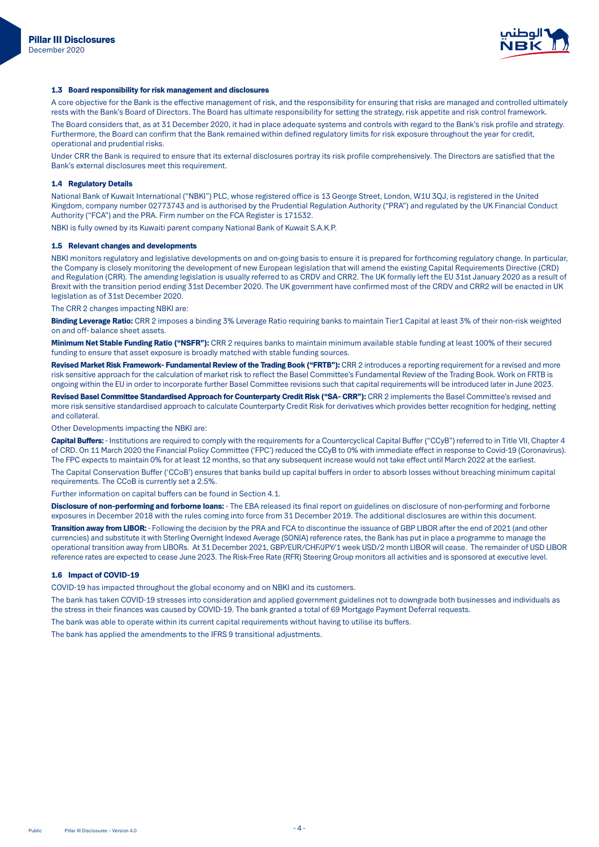

## 1.3 Board responsibility for risk management and disclosures

A core objective for the Bank is the effective management of risk, and the responsibility for ensuring that risks are managed and controlled ultimately rests with the Bank's Board of Directors. The Board has ultimate responsibility for setting the strategy, risk appetite and risk control framework.

The Board considers that, as at 31 December 2020, it had in place adequate systems and controls with regard to the Bank's risk profile and strategy. Furthermore, the Board can confirm that the Bank remained within defined regulatory limits for risk exposure throughout the year for credit, operational and prudential risks.

Under CRR the Bank is required to ensure that its external disclosures portray its risk profile comprehensively. The Directors are satisfied that the Bank's external disclosures meet this requirement.

### 1.4 Regulatory Details

National Bank of Kuwait International ("NBKI") PLC, whose registered office is 13 George Street, London, W1U 3QJ, is registered in the United Kingdom, company number 02773743 and is authorised by the Prudential Regulation Authority ("PRA") and regulated by the UK Financial Conduct Authority ("FCA") and the PRA. Firm number on the FCA Register is 171532.

NBKI is fully owned by its Kuwaiti parent company National Bank of Kuwait S.A.K.P.

### 1.5 Relevant changes and developments

NBKI monitors regulatory and legislative developments on and on-going basis to ensure it is prepared for forthcoming regulatory change. In particular, the Company is closely monitoring the development of new European legislation that will amend the existing Capital Requirements Directive (CRD) and Regulation (CRR). The amending legislation is usually referred to as CRDV and CRR2. The UK formally left the EU 31st January 2020 as a result of Brexit with the transition period ending 31st December 2020. The UK government have confirmed most of the CRDV and CRR2 will be enacted in UK legislation as of 31st December 2020.

The CRR 2 changes impacting NBKI are:

Binding Leverage Ratio: CRR 2 imposes a binding 3% Leverage Ratio requiring banks to maintain Tier1 Capital at least 3% of their non-risk weighted on and off- balance sheet assets

Minimum Net Stable Funding Ratio ("NSFR"): CRR 2 requires banks to maintain minimum available stable funding at least 100% of their secured funding to ensure that asset exposure is broadly matched with stable funding sources.

Revised Market Risk Framework- Fundamental Review of the Trading Book ("FRTB"): CRR 2 introduces a reporting requirement for a revised and more risk sensitive approach for the calculation of market risk to reflect the Basel Committee's Fundamental Review of the Trading Book. Work on FRTB is ongoing within the EU in order to incorporate further Basel Committee revisions such that capital requirements will be introduced later in June 2023.

Revised Basel Committee Standardised Approach for Counterparty Credit Risk ("SA- CRR"): CRR 2 implements the Basel Committee's revised and more risk sensitive standardised approach to calculate Counterparty Credit Risk for derivatives which provides better recognition for hedging, netting and collateral

Other Developments impacting the NBKI are:

Capital Buffers: - Institutions are required to comply with the requirements for a Countercyclical Capital Buffer ("CCyB") referred to in Title VII, Chapter 4 of CRD. On 11 March 2020 the Financial Policy Committee ('FPC') reduced the CCyB to 0% with immediate effect in response to Covid-19 (Coronavirus). The FPC expects to maintain 0% for at least 12 months, so that any subsequent increase would not take effect until March 2022 at the earliest.

The Capital Conservation Buffer ('CCoB') ensures that banks build up capital buffers in order to absorb losses without breaching minimum capital requirements. The CCoB is currently set a 2.5%.

Further information on capital buffers can be found in Section 4.1.

Disclosure of non-performing and forborne loans: - The EBA released its final report on guidelines on disclosure of non-performing and forborne exposures in December 2018 with the rules coming into force from 31 December 2019. The additional disclosures are within this document.

Transition away from LIBOR: - Following the decision by the PRA and FCA to discontinue the issuance of GBP LIBOR after the end of 2021 (and other currencies) and substitute it with Sterling Overnight Indexed Average (SONIA) reference rates, the Bank has put in place a programme to manage the operational transition away from LIBORs. At 31 December 2021, GBP/EUR/CHF/JPY/1 week USD/2 month LIBOR will cease. The remainder of USD LIBOR reference rates are expected to cease June 2023. The Risk-Free Rate (RFR) Steering Group monitors all activities and is sponsored at executive level.

#### 1.6 Impact of COVID-19

COVID-19 has impacted throughout the global economy and on NBKI and its customers.

The bank has taken COVID-19 stresses into consideration and applied government guidelines not to downgrade both businesses and individuals as the stress in their finances was caused by COVID-19. The bank granted a total of 69 Mortgage Payment Deferral requests.

The bank was able to operate within its current capital requirements without having to utilise its buffers.

The bank has applied the amendments to the IFRS 9 transitional adjustments.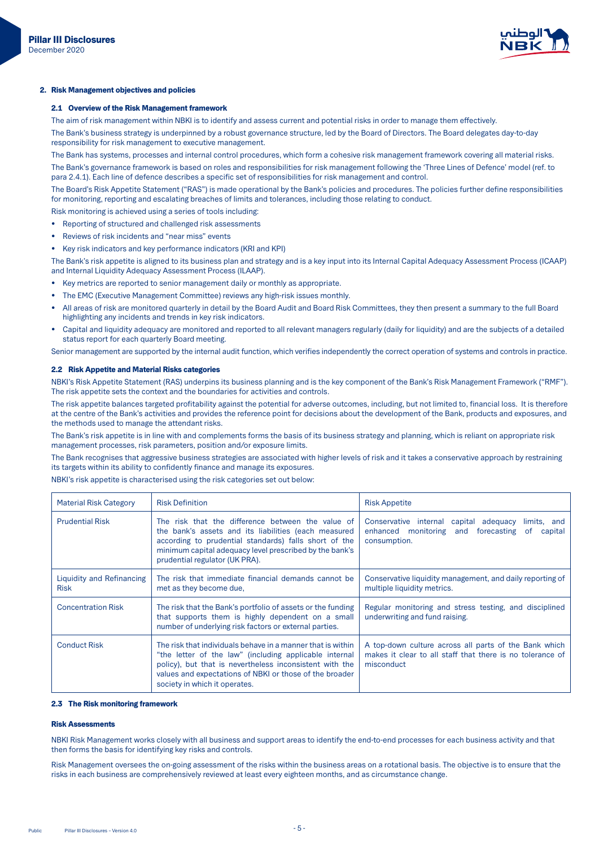

# 2. Risk Management objectives and policies

# 2.1 Overview of the Risk Management framework

The aim of risk management within NBKI is to identify and assess current and potential risks in order to manage them effectively.

The Bank's business strategy is underpinned by a robust governance structure, led by the Board of Directors. The Board delegates day-to-day responsibility for risk management to executive management.

The Bank has systems, processes and internal control procedures, which form a cohesive risk management framework covering all material risks. The Bank's governance framework is based on roles and responsibilities for risk management following the 'Three Lines of Defence' model (ref. to para 2.4.1). Each line of defence describes a specific set of responsibilities for risk management and control.

The Board's Risk Appetite Statement ("RAS") is made operational by the Bank's policies and procedures. The policies further define responsibilities for monitoring, reporting and escalating breaches of limits and tolerances, including those relating to conduct.

Risk monitoring is achieved using a series of tools including: • Reporting of structured and challenged risk assessments

- Reviews of risk incidents and "near miss" events
- Key risk indicators and key performance indicators (KRI and KPI)

The Bank's risk appetite is aligned to its business plan and strategy and is a key input into its Internal Capital Adequacy Assessment Process (ICAAP) and Internal Liquidity Adequacy Assessment Process (ILAAP).

- . Key metrics are reported to senior management daily or monthly as appropriate.
- . The EMC (Executive Management Committee) reviews any high-risk issues monthly.
- All areas of risk are monitored quarterly in detail by the Board Audit and Board Risk Committees, they then present a summary to the full Board highlighting any incidents and trends in key risk indicators.
- Capital and liquidity adequacy are monitored and reported to all relevant managers regularly (daily for liquidity) and are the subjects of a detailed status report for each quarterly Board meeting.

Senior management are supported by the internal audit function, which verifies independently the correct operation of systems and controls in practice.

## 2.2 Risk Appetite and Material Risks categories

NBKI's Risk Appetite Statement (RAS) underpins its business planning and is the key component of the Bank's Risk Management Framework ("RMF"). The risk appetite sets the context and the boundaries for activities and controls.

The risk appetite balances targeted profitability against the potential for adverse outcomes, including, but not limited to, financial loss. It is therefore at the centre of the Bank's activities and provides the reference point for decisions about the development of the Bank, products and exposures, and the methods used to manage the attendant risks.

The Bank's risk appetite is in line with and complements forms the basis of its business strategy and planning, which is reliant on appropriate risk management processes, risk parameters, position and/or exposure limits.

The Bank recognises that aggressive business strategies are associated with higher levels of risk and it takes a conservative approach by restraining its targets within its ability to confidently finance and manage its exposures.

NBKI's risk appetite is characterised using the risk categories set out below:

| <b>Material Risk Category</b>            | <b>Risk Definition</b>                                                                                                                                                                                                                                                       | <b>Risk Appetite</b>                                                                                                             |
|------------------------------------------|------------------------------------------------------------------------------------------------------------------------------------------------------------------------------------------------------------------------------------------------------------------------------|----------------------------------------------------------------------------------------------------------------------------------|
| <b>Prudential Risk</b>                   | The risk that the difference between the value of<br>the bank's assets and its liabilities (each measured<br>according to prudential standards) falls short of the<br>minimum capital adequacy level prescribed by the bank's<br>prudential regulator (UK PRA).              | Conservative internal capital adequacy<br>limits, and<br>enhanced monitoring and forecasting<br>of<br>capital<br>consumption.    |
| Liquidity and Refinancing<br><b>Risk</b> | The risk that immediate financial demands cannot be<br>met as they become due.                                                                                                                                                                                               | Conservative liquidity management, and daily reporting of<br>multiple liquidity metrics.                                         |
| <b>Concentration Risk</b>                | The risk that the Bank's portfolio of assets or the funding<br>that supports them is highly dependent on a small<br>number of underlying risk factors or external parties.                                                                                                   | Regular monitoring and stress testing, and disciplined<br>underwriting and fund raising.                                         |
| <b>Conduct Risk</b>                      | The risk that individuals behave in a manner that is within<br>"the letter of the law" (including applicable internal<br>policy), but that is nevertheless inconsistent with the<br>values and expectations of NBKI or those of the broader<br>society in which it operates. | A top-down culture across all parts of the Bank which<br>makes it clear to all staff that there is no tolerance of<br>misconduct |

#### 2.3 The Risk monitoring framework

#### **Dick Accacemants**

NBKI Risk Management works closely with all business and support areas to identify the end-to-end processes for each business activity and that then forms the basis for identifying key risks and controls.

Risk Management oversees the on-going assessment of the risks within the business areas on a rotational basis. The objective is to ensure that the risks in each business are comprehensively reviewed at least every eighteen months, and as circumstance change.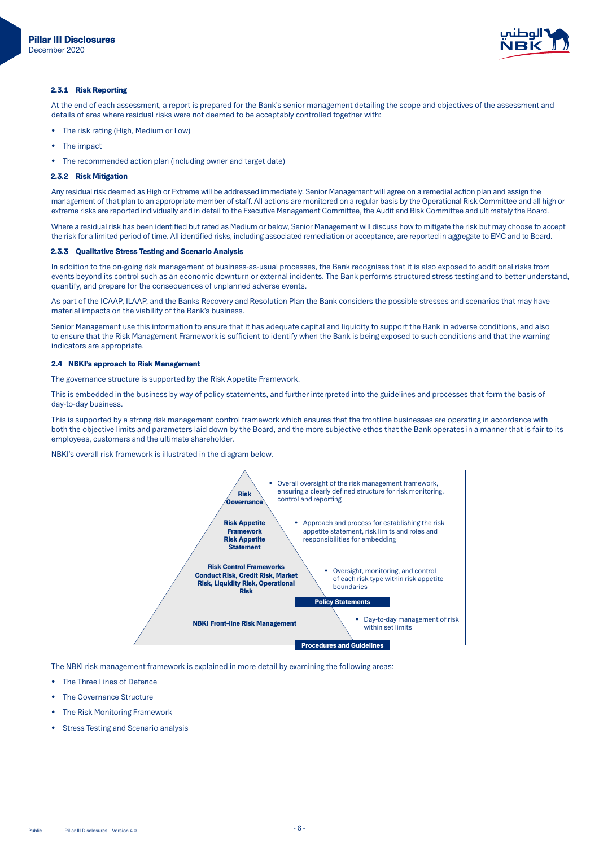

#### 2.3.1 Risk Reporting

At the end of each assessment, a report is prepared for the Bank's senior management detailing the scope and objectives of the assessment and details of area where residual risks were not deemed to be acceptably controlled together with:

- The risk rating (High, Medium or Low)
- The impact
- The recommended action plan (including owner and target date)

#### 2.3.2 Risk Mitigation

Any residual risk deemed as High or Extreme will be addressed immediately. Senior Management will agree on a remedial action plan and assign the management of that plan to an appropriate member of staff. All actions are monitored on a regular basis by the Operational Risk Committee and all high or extreme risks are reported individually and in detail to the Executive Management Committee, the Audit and Risk Committee and ultimately the Board.

Where a residual risk has been identified but rated as Medium or below, Senior Management will discuss how to mitigate the risk but may choose to accept the risk for a limited period of time. All identified risks, including associated remediation or acceptance, are reported in aggregate to EMC and to Board.

#### 2.3.3 Qualitative Stress Testing and Scenario Analysis

In addition to the on-going risk management of business-as-usual processes, the Bank recognises that it is also exposed to additional risks from events beyond its control such as an economic downturn or external incidents. The Bank performs structured stress testing and to better understand, quantify, and prepare for the consequences of unplanned adverse events.

As part of the ICAAP, ILAAP, and the Banks Recovery and Resolution Plan the Bank considers the possible stresses and scenarios that may have material impacts on the viability of the Bank's business.

Senior Management use this information to ensure that it has adequate capital and liquidity to support the Bank in adverse conditions, and also to ensure that the Risk Management Framework is sufficient to identify when the Bank is being exposed to such conditions and that the warning indicators are appropriate.

#### 2.4 NBKI's approach to Risk Management

The governance structure is supported by the Risk Appetite Framework.

This is embedded in the business by way of policy statements, and further interpreted into the guidelines and processes that form the basis of day-to-day business

This is supported by a strong risk management control framework which ensures that the frontline businesses are operating in accordance with both the objective limits and parameters laid down by the Board, and the more subjective ethos that the Bank operates in a manner that is fair to its employees, customers and the ultimate shareholder.

NBKI's overall risk framework is illustrated in the diagram below.



The NBKI risk management framework is explained in more detail by examining the following areas:

- The Three Lines of Defence
- The Governance Structure
- The Risk Monitoring Framework
- Stress Testing and Scenario analysis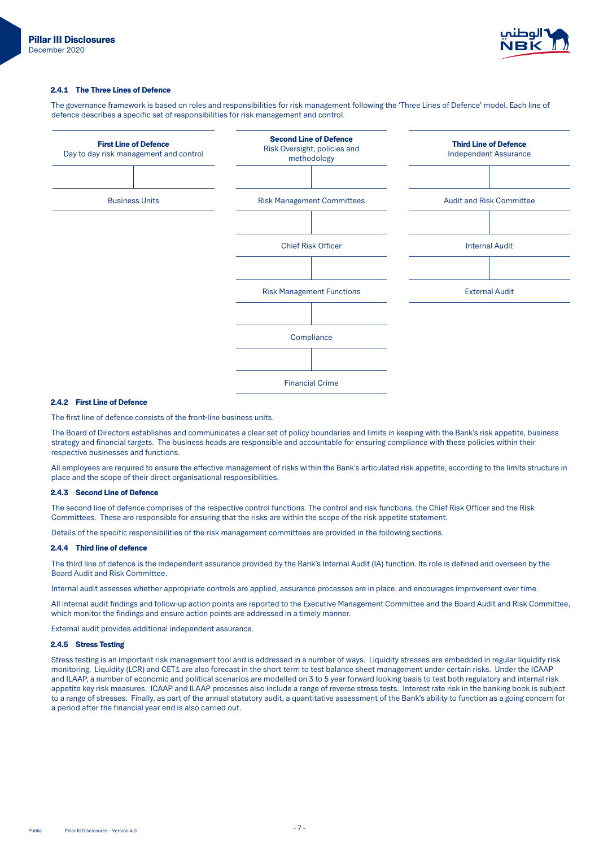

#### 2.4.1 The Three Lines of Defence

The governance framework is based on roles and responsibilities for risk management following the 'Three Lines of Defence' model. Each line of defence describes a specific set of responsibilities for risk management and control.



## 2.4.2 First Line of Defence

The first line of defence consists of the front-line business units.

The Board of Directors establishes and communicates a clear set of policy boundaries and limits in keeping with the Bank's risk appetite, business strategy and financial targets. The business heads are responsible and accountable for ensuring compliance with these policies within their respective businesses and functions.

All employees are required to ensure the effective management of risks within the Bank's articulated risk appetite, according to the limits structure in place and the scope of their direct organisational responsibilities.

#### 2.4.3 Second Line of Defence

The second line of defence comprises of the respective control functions. The control and risk functions, the Chief Risk Officer and the Risk Committees. These are responsible for ensuring that the risks are within the scope of the risk appetite statement.

Details of the specific responsibilities of the risk management committees are provided in the following sections.

## 2.4.4 Third line of defence

The third line of defence is the independent assurance provided by the Bank's Internal Audit (IA) function. Its role is defined and overseen by the Board Audit and Risk Committee.

Internal audit assesses whether appropriate controls are applied, assurance processes are in place, and encourages improvement over time.

All internal audit findings and follow-up action points are reported to the Executive Management Committee and the Board Audit and Risk Committee, which monitor the findings and ensure action points are addressed in a timely manner.

External audit provides additional independent assurance.

## 2.4.5 Stress Testing

Stress testing is an important risk management tool and is addressed in a number of ways. Liquidity stresses are embedded in regular liquidity risk monitoring. Liquidity (LCR) and CET1 are also forecast in the short term to test balance sheet management under certain risks. Under the ICAAP and ILAAP, a number of economic and political scenarios are modelled on 3 to 5 year forward looking basis to test both regulatory and internal risk appetite key risk measures. ICAAP and ILAAP processes also include a range of reverse stress tests. Interest rate risk in the banking book is subject to a range of stresses. Finally, as part of the annual statutory audit, a quantitative assessment of the Bank's ability to function as a going concern for a period after the financial year end is also carried out.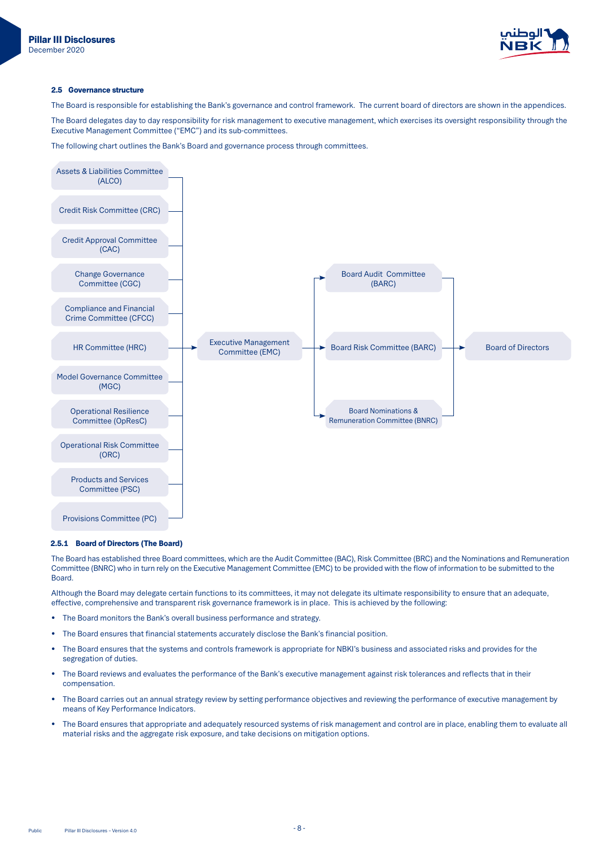

### 2.5 Governance structure

The Board is responsible for establishing the Bank's governance and control framework. The current board of directors are shown in the appendices.

The Board delegates day to day responsibility for risk management to executive management, which exercises its oversight responsibility through the Executive Management Committee ("EMC") and its sub-committees.

The following chart outlines the Bank's Board and governance process through committees.



#### 2.5.1 Board of Directors (The Board)

The Board has established three Board committees, which are the Audit Committee (BAC), Risk Committee (BRC) and the Nominations and Remuneration Committee (BNRC) who in turn rely on the Executive Management Committee (EMC) to be provided with the flow of information to be submitted to the Board.

Although the Board may delegate certain functions to its committees, it may not delegate its ultimate responsibility to ensure that an adequate. effective, comprehensive and transparent risk governance framework is in place. This is achieved by the following:

- The Board monitors the Bank's overall business performance and strategy.
- The Board ensures that financial statements accurately disclose the Bank's financial position.
- The Board ensures that the systems and controls framework is appropriate for NBKI's business and associated risks and provides for the segregation of duties.
- The Board reviews and evaluates the performance of the Bank's executive management against risk tolerances and reflects that in their .compensation
- The Board carries out an annual strategy review by setting performance objectives and reviewing the performance of executive management by means of Key Performance Indicators.
- The Board ensures that appropriate and adequately resourced systems of risk management and control are in place, enabling them to evaluate all material risks and the aggregate risk exposure, and take decisions on mitigation options.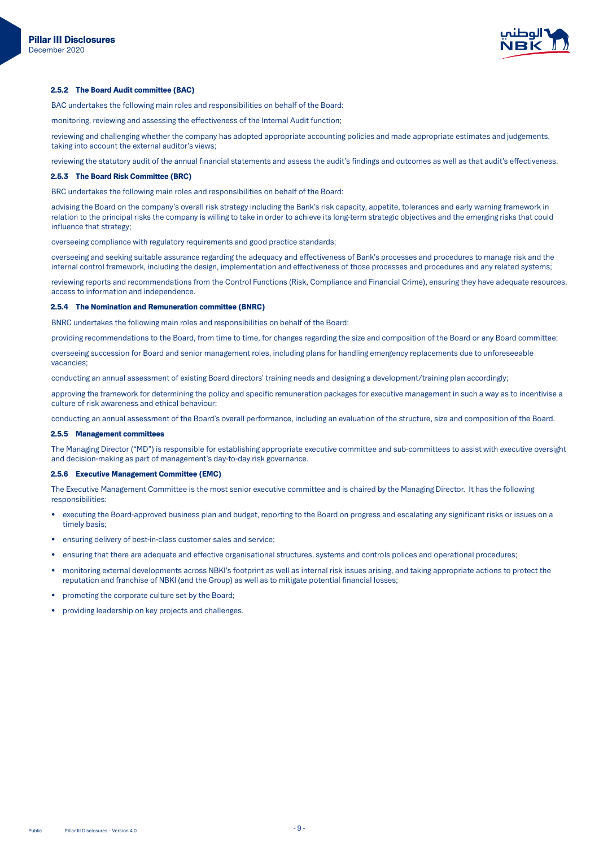

#### 2.5.2 The Board Audit committee (BAC)

BAC undertakes the following main roles and responsibilities on behalf of the Board:

monitoring, reviewing and assessing the effectiveness of the Internal Audit function;

reviewing and challenging whether the company has adopted appropriate accounting policies and made appropriate estimates and judgements. taking into account the external auditor's views;

reviewing the statutory audit of the annual financial statements and assess the audit's findings and outcomes as well as that audit's effectiveness.

#### 2.5.3 The Board Risk Committee (BRC)

BRC undertakes the following main roles and responsibilities on behalf of the Board:

advising the Board on the company's overall risk strategy including the Bank's risk capacity, appetite, tolerances and early warning framework in relation to the principal risks the company is willing to take in order to achieve its long-term strategic objectives and the emerging risks that could influence that strategy;

overseeing compliance with regulatory requirements and good practice standards;

overseeing and seeking suitable assurance regarding the adequacy and effectiveness of Bank's processes and procedures to manage risk and the internal control framework, including the design, implementation and effectiveness of those processes and procedures and any related systems;

reviewing reports and recommendations from the Control Functions (Risk, Compliance and Financial Crime), ensuring they have adequate resources, access to information and independence.

#### 2.5.4 The Nomination and Remuneration committee (BNRC)

BNRC undertakes the following main roles and responsibilities on behalf of the Board:

providing recommendations to the Board, from time to time, for changes regarding the size and composition of the Board or any Board committee;

overseeing succession for Board and senior management roles, including plans for handling emergency replacements due to unforeseeable vacancies:

conducting an annual assessment of existing Board directors' training needs and designing a development/training plan accordingly;

approving the framework for determining the policy and specific remuneration packages for executive management in such a way as to incentivise a culture of risk awareness and ethical behaviour:

conducting an annual assessment of the Board's overall performance, including an evaluation of the structure, size and composition of the Board.

#### 2.5.5 Management committees

The Managing Director ("MD") is responsible for establishing appropriate executive committee and sub-committees to assist with executive oversight and decision-making as part of management's day-to-day risk governance.

#### 2.5.6 Executive Management Committee (EMC)

The Executive Management Committee is the most senior executive committee and is chaired by the Managing Director. It has the following :responsibilities

- executing the Board-approved business plan and budget, reporting to the Board on progress and escalating any significant risks or issues on a timely basis
- ensuring delivery of best-in-class customer sales and service;
- ensuring that there are adequate and effective organisational structures, systems and controls polices and operational procedures;
- monitoring external developments across NBKI's footprint as well as internal risk issues arising, and taking appropriate actions to protect the reputation and franchise of NBKI (and the Group) as well as to mitigate potential financial losses;
- promoting the corporate culture set by the Board;
- .challenges broviding leadership on key projects and challenges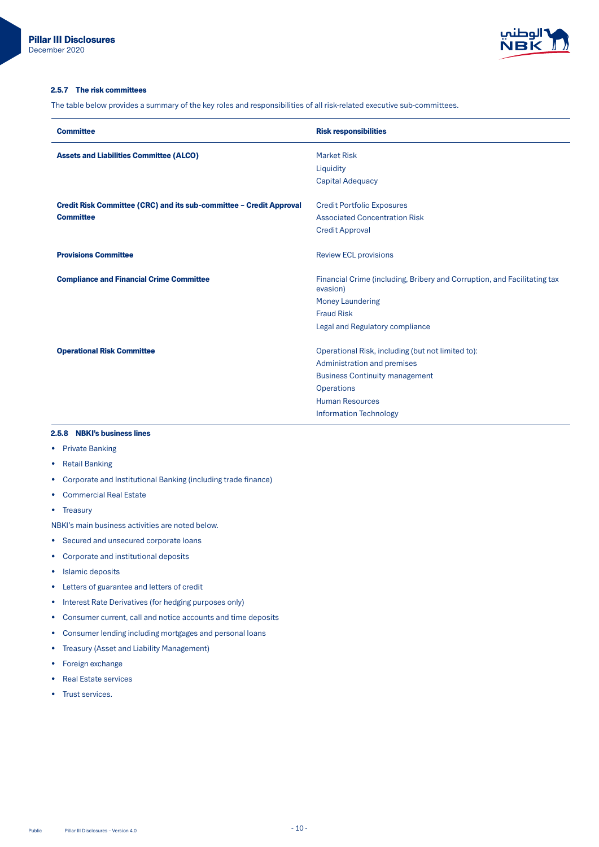

## 2.5.7 The risk committees

The table below provides a summary of the key roles and responsibilities of all risk-related executive sub-committees.

| <b>Committee</b>                                                    | <b>Risk responsibilities</b>                                                         |
|---------------------------------------------------------------------|--------------------------------------------------------------------------------------|
| <b>Assets and Liabilities Committee (ALCO)</b>                      | <b>Market Risk</b>                                                                   |
|                                                                     | Liquidity                                                                            |
|                                                                     | <b>Capital Adequacy</b>                                                              |
|                                                                     |                                                                                      |
| Credit Risk Committee (CRC) and its sub-committee - Credit Approval | <b>Credit Portfolio Exposures</b>                                                    |
| <b>Committee</b>                                                    | <b>Associated Concentration Risk</b>                                                 |
|                                                                     | <b>Credit Approval</b>                                                               |
|                                                                     |                                                                                      |
| <b>Provisions Committee</b>                                         | <b>Review ECL provisions</b>                                                         |
|                                                                     |                                                                                      |
| <b>Compliance and Financial Crime Committee</b>                     | Financial Crime (including, Bribery and Corruption, and Facilitating tax<br>evasion) |
|                                                                     | <b>Money Laundering</b>                                                              |
|                                                                     | <b>Fraud Risk</b>                                                                    |
|                                                                     | Legal and Regulatory compliance                                                      |
|                                                                     |                                                                                      |
| <b>Operational Risk Committee</b>                                   | Operational Risk, including (but not limited to):                                    |
|                                                                     | Administration and premises                                                          |
|                                                                     | <b>Business Continuity management</b>                                                |
|                                                                     | <b>Operations</b>                                                                    |
|                                                                     | <b>Human Resources</b>                                                               |
|                                                                     | <b>Information Technology</b>                                                        |
|                                                                     |                                                                                      |

# 2.5.8 NBKI's business lines

- Private Banking
- Retail Banking
- Corporate and Institutional Banking (including trade finance)
- Commercial Real Estate

• Treasury

- NBKI's main business activities are noted below.
- Secured and unsecured corporate loans
- Corporate and institutional deposits
- Islamic deposits
- Letters of guarantee and letters of credit
- Interest Rate Derivatives (for hedging purposes only)
- Consumer current, call and notice accounts and time deposits
- Consumer lending including mortgages and personal loans
- Treasury (Asset and Liability Management)
- Foreign exchange
- Real Estate services
- Trust services.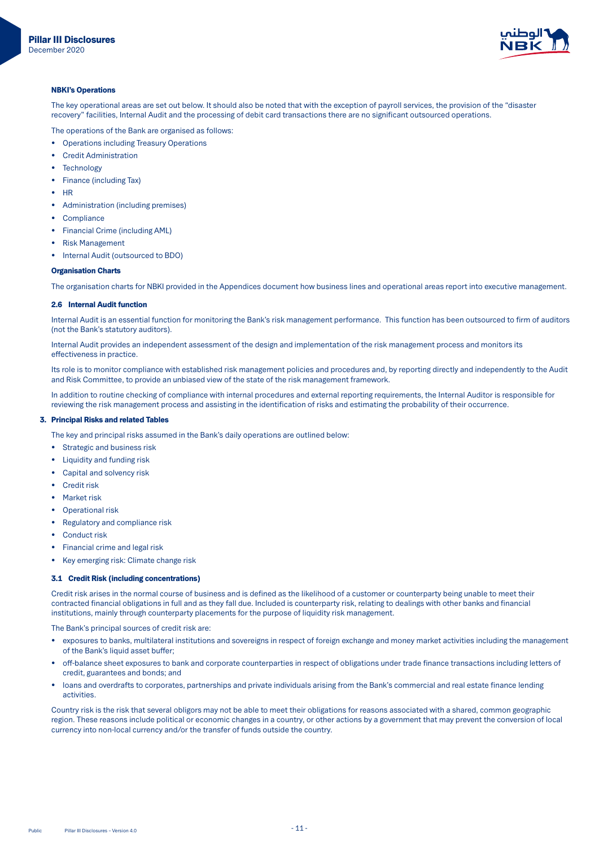

# **NBKI's Operations**

The key operational areas are set out below. It should also be noted that with the exception of payroll services, the provision of the "disaster recovery" facilities, Internal Audit and the processing of debit card transactions there are no significant outsourced operations.

The operations of the Bank are organised as follows:

- Operations including Treasury Operations
- **Credit Administration**
- Technology•
- Finance (including Tax)
- HR
- Administration (including premises)
- Compliance
- Financial Crime (including AML)
- **Risk Management**
- Internal Audit (outsourced to BDO)

# **Organisation Charts**

The organisation charts for NBKI provided in the Appendices document how business lines and operational areas report into executive management.

# **2.6 Internal Audit function**

Internal Audit is an essential function for monitoring the Bank's risk management performance. This function has been outsourced to firm of auditors (not the Bank's statutory auditors).

Internal Audit provides an independent assessment of the design and implementation of the risk management process and monitors its effectiveness in practice.

Its role is to monitor compliance with established risk management policies and procedures and, by reporting directly and independently to the Audit and Risk Committee, to provide an unbiased view of the state of the risk management framework.

In addition to routine checking of compliance with internal procedures and external reporting requirements, the Internal Auditor is responsible for reviewing the risk management process and assisting in the identification of risks and estimating the probability of their occurrence.

# 3. Principal Risks and related Tables

The key and principal risks assumed in the Bank's daily operations are outlined below:

- Strategic and business risk
- Liquidity and funding risk
- Capital and solvency risk
- Credit risk
- Market risk
- Operational risk
- Regulatory and compliance risk
- Conduct risk
- Financial crime and legal risk
- Key emerging risk: Climate change risk

# 3.1 Credit Risk (including concentrations)

Credit risk arises in the normal course of business and is defined as the likelihood of a customer or counterparty being unable to meet their contracted financial obligations in full and as they fall due. Included is counterparty risk, relating to dealings with other banks and financial institutions, mainly through counterparty placements for the purpose of liquidity risk management.

The Bank's principal sources of credit risk are:

- exposures to banks, multilateral institutions and sovereigns in respect of foreign exchange and money market activities including the management of the Bank's liquid asset buffer:
- off-balance sheet exposures to bank and corporate counterparties in respect of obligations under trade finance transactions including letters of credit, guarantees and bonds; and
- loans and overdrafts to corporates, partnerships and private individuals arising from the Bank's commercial and real estate finance lending .activities

Country risk is the risk that several obligors may not be able to meet their obligations for reasons associated with a shared, common geographic region. These reasons include political or economic changes in a country, or other actions by a government that may prevent the conversion of local currency into non-local currency and/or the transfer of funds outside the country.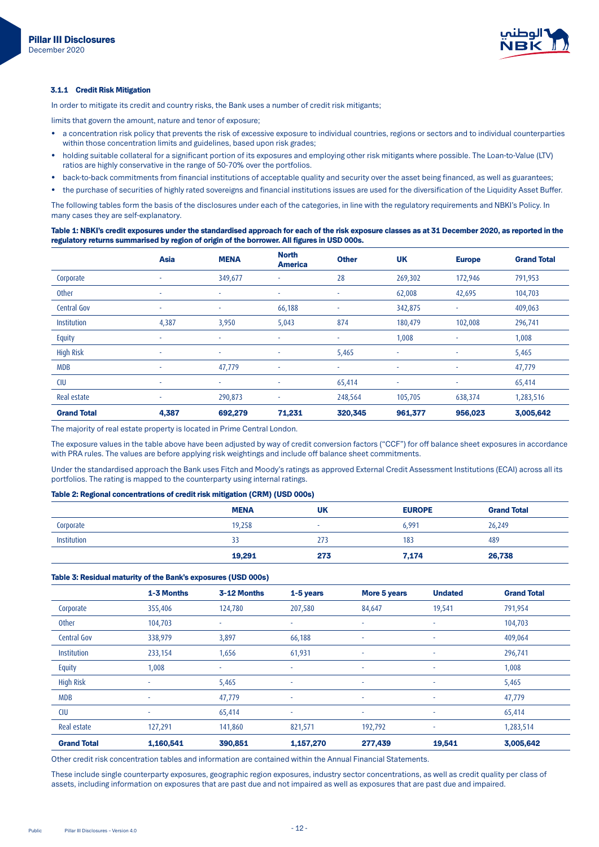

#### **3.1.1 Credit Risk Mitigation**

In order to mitigate its credit and country risks, the Bank uses a number of credit risk mitigants;

limits that govern the amount, nature and tenor of exposure;

- a concentration risk policy that prevents the risk of excessive exposure to individual countries, regions or sectors and to individual counterparties within those concentration limits and guidelines, based upon risk grades;
- holding suitable collateral for a significant portion of its exposures and employing other risk mitigants where possible. The Loan-to-Value (LTV) ratios are highly conservative in the range of 50-70% over the portfolios.
- back-to-back commitments from financial institutions of acceptable quality and security over the asset being financed, as well as guarantees;
- the purchase of securities of highly rated sovereigns and financial institutions issues are used for the diversification of the Liquidity Asset Buffer.

The following tables form the basis of the disclosures under each of the categories, in line with the regulatory requirements and NBKI's Policy. In many cases they are self-explanatory.

Table 1: NBKI's credit exposures under the standardised approach for each of the risk exposure classes as at 31 December 2020, as reported in the regulatory returns summarised by region of origin of the borrower. All figures in USD 000s.

|                    | Asia   | <b>MENA</b> | <b>North</b><br><b>America</b> | <b>Other</b> | <b>UK</b> | <b>Europe</b> | <b>Grand Total</b> |
|--------------------|--------|-------------|--------------------------------|--------------|-----------|---------------|--------------------|
| Corporate          | $\sim$ | 349,677     | ۰                              | 28           | 269,302   | 172,946       | 791,953            |
| Other              | $\sim$ | ٠           | ۰                              | ٠            | 62,008    | 42,695        | 104,703            |
| Central Gov        | $\sim$ | $\sim$      | 66,188                         | ٠            | 342,875   | ٠             | 409,063            |
| Institution        | 4,387  | 3,950       | 5,043                          | 874          | 180,479   | 102,008       | 296,741            |
| <b>Equity</b>      | $\sim$ | ٠           | ٠                              | ٠            | 1,008     | $\sim$        | 1,008              |
| <b>High Risk</b>   | $\sim$ | ٠           | ٠                              | 5,465        |           | ٠             | 5,465              |
| <b>MDB</b>         | $\sim$ | 47,779      | ٠                              | ٠            | $\sim$    | ٠             | 47,779             |
| <b>CIU</b>         | $\sim$ | ۰           | ٠                              | 65,414       |           | ٠             | 65,414             |
| Real estate        | $\sim$ | 290,873     | ٠                              | 248,564      | 105,705   | 638,374       | 1,283,516          |
| <b>Grand Total</b> | 4,387  | 692,279     | 71,231                         | 320,345      | 961,377   | 956,023       | 3,005,642          |

The majority of real estate property is located in Prime Central London.

The exposure values in the table above have been adjusted by way of credit conversion factors ("CCF") for off balance sheet exposures in accordance with PRA rules. The values are before applying risk weightings and include off balance sheet commitments.

Under the standardised approach the Bank uses Fitch and Moody's ratings as approved External Credit Assessment Institutions (ECAI) across all its portfolios. The rating is mapped to the counterparty using internal ratings.

## Table 2: Regional concentrations of credit risk mitigation (CRM) (USD 000s)

|             | <b>MENA</b> | UK                       | <b>EUROPE</b> | <b>Grand Total</b> |
|-------------|-------------|--------------------------|---------------|--------------------|
| Corporate   | 19,258      | $\overline{\phantom{a}}$ | 6.991         | 26,249             |
| Institution | 33          | 273                      | 183           | 489                |
|             | 19,291      | 273                      | 7,174         | 26,738             |

#### Table 3: Residual maturity of the Bank's exposures (USD 000s)

|                    | 1-3 Months | 3-12 Months | 1-5 years | More 5 years | <b>Undated</b>           | <b>Grand Total</b> |
|--------------------|------------|-------------|-----------|--------------|--------------------------|--------------------|
| Corporate          | 355,406    | 124,780     | 207,580   | 84,647       | 19,541                   | 791,954            |
| Other              | 104,703    | ۰           | ٠         | ÷.           | $\sim$                   | 104,703            |
| <b>Central Gov</b> | 338,979    | 3,897       | 66,188    | ٠            | $\sim$                   | 409,064            |
| Institution        | 233,154    | 1,656       | 61,931    | $\sim$       | $\sim$                   | 296,741            |
| Equity             | 1,008      | ٠           | ٠         | ٠            | $\overline{\phantom{a}}$ | 1,008              |
| <b>High Risk</b>   | ۰          | 5,465       | ٠         | ٠            | $\sim$                   | 5,465              |
| <b>MDB</b>         | ٠          | 47,779      | ٠         | ٠            | $\sim$                   | 47,779             |
| <b>CIU</b>         | ۰          | 65,414      | ٠         | ٠            | $\overline{\phantom{a}}$ | 65,414             |
| Real estate        | 127,291    | 141,860     | 821,571   | 192,792      | $\overline{\phantom{a}}$ | 1,283,514          |
| <b>Grand Total</b> | 1,160,541  | 390,851     | 1,157,270 | 277,439      | 19,541                   | 3,005,642          |

Other credit risk concentration tables and information are contained within the Annual Financial Statements.

These include single counterparty exposures, geographic region exposures, industry sector concentrations, as well as credit quality per class of assets, including information on exposures that are past due and not impaired as well as exposures that are past due and impaired.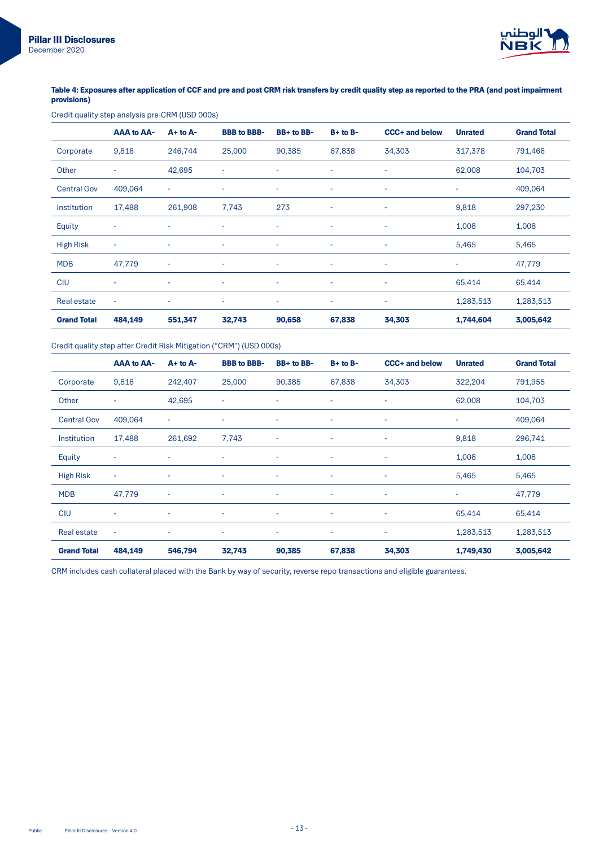

# Table 4: Exposures after application of CCF and pre and post CRM risk transfers by credit quality step as reported to the PRA (and post impairment provisions)

# Credit quality step analysis pre-CRM (USD 000s)

|                    | <b>AAA to AA-</b>        | $A+$ to $A-$             | <b>BBB</b> to BBB- | BB+ to BB- | $B+$ to $B-$             | <b>CCC+ and below</b> | <b>Unrated</b>           | <b>Grand Total</b> |
|--------------------|--------------------------|--------------------------|--------------------|------------|--------------------------|-----------------------|--------------------------|--------------------|
| Corporate          | 9,818                    | 246,744                  | 25,000             | 90,385     | 67,838                   | 34,303                | 317,378                  | 791,466            |
| Other              | ٠                        | 42,695                   | ÷                  | ÷          | ٠                        | ٠                     | 62,008                   | 104,703            |
| <b>Central Gov</b> | 409,064                  | $\overline{\phantom{a}}$ | ٠                  | ٠          | ٠                        | ٠                     | ٠                        | 409,064            |
| Institution        | 17,488                   | 261,908                  | 7,743              | 273        | $\overline{\phantom{a}}$ | ٠                     | 9,818                    | 297,230            |
| Equity             |                          | ٠                        | ۰                  | ٠          | ٠                        | ٠                     | 1,008                    | 1,008              |
| <b>High Risk</b>   | $\sim$                   | ٠                        | ٠                  | ٠          | ٠                        | ٠                     | 5,465                    | 5,465              |
| <b>MDB</b>         | 47,779                   | $\overline{\phantom{a}}$ | ٠                  | ٠          | ٠                        | ٠                     | $\overline{\phantom{a}}$ | 47,779             |
| <b>CIU</b>         | ٠                        | $\overline{\phantom{a}}$ | ٠                  | ٠          | ٠                        | ٠                     | 65,414                   | 65,414             |
| Real estate        | $\overline{\phantom{a}}$ | ٠                        | ٠                  | ٠          | ٠                        | ٠                     | 1,283,513                | 1,283,513          |
| <b>Grand Total</b> | 484,149                  | 551,347                  | 32,743             | 90,658     | 67,838                   | 34,303                | 1,744,604                | 3,005,642          |

# Credit quality step after Credit Risk Mitigation ("CRM") (USD 000s)

|                    | <b>AAA to AA-</b>        | $A+$ to $A-$             | <b>BBB</b> to BBB- | BB+ to BB- | $B+$ to $B-$ | <b>CCC+ and below</b>    | <b>Unrated</b> | <b>Grand Total</b> |
|--------------------|--------------------------|--------------------------|--------------------|------------|--------------|--------------------------|----------------|--------------------|
| Corporate          | 9,818                    | 242,407                  | 25,000             | 90,385     | 67,838       | 34,303                   | 322,204        | 791,955            |
| Other              | $\overline{\phantom{a}}$ | 42,695                   | ٠                  | ٠          | $\sim$       | ٠                        | 62,008         | 104,703            |
| <b>Central Gov</b> | 409,064                  | $\overline{\phantom{a}}$ | ٠                  | ٠          | $\sim$       | ٠                        | ٠              | 409,064            |
| <b>Institution</b> | 17,488                   | 261,692                  | 7,743              | ٠          | $\sim$       | ٠                        | 9,818          | 296,741            |
| Equity             | ٠                        | ٠                        | ۰                  | ٠          | ٠            | ٠                        | 1,008          | 1,008              |
| <b>High Risk</b>   | $\sim$                   | $\overline{\phantom{a}}$ | ٠                  | ٠          | ٠            | $\overline{\phantom{a}}$ | 5,465          | 5,465              |
| <b>MDB</b>         | 47,779                   | ٠                        | ۰                  | ٠          | ٠            | ٠                        | ٠              | 47,779             |
| <b>CIU</b>         | ٠                        | $\overline{\phantom{a}}$ | ۰                  | ٠          | $\sim$       | ٠                        | 65,414         | 65,414             |
| <b>Real estate</b> | $\sim$                   | $\overline{\phantom{a}}$ | ۰                  | ٠          | ٠            | ٠                        | 1,283,513      | 1,283,513          |
| <b>Grand Total</b> | 484,149                  | 546,794                  | 32,743             | 90,385     | 67,838       | 34,303                   | 1,749,430      | 3,005,642          |

CRM includes cash collateral placed with the Bank by way of security, reverse repo transactions and eligible guarantees.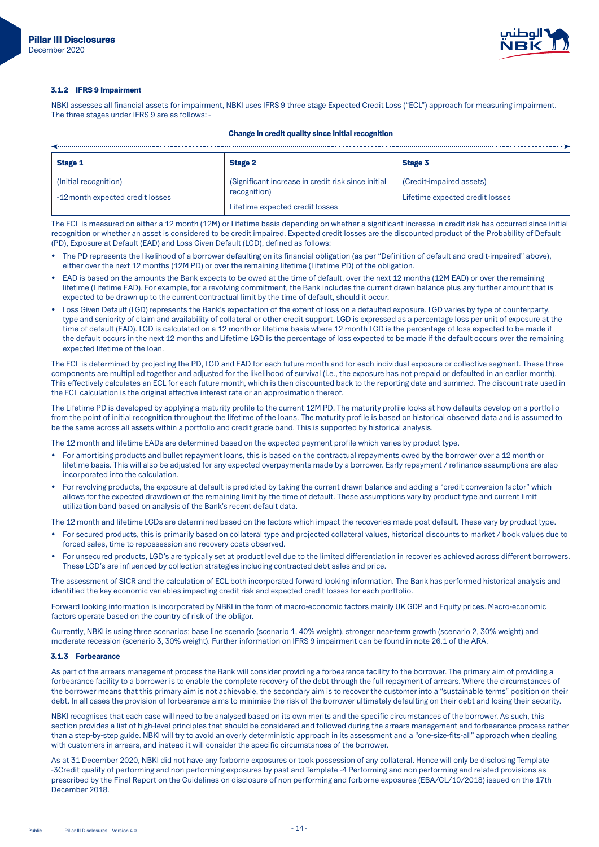

#### 3.1.2 IFRS 9 Impairment

NBKI assesses all financial assets for impairment, NBKI uses IFRS 9 three stage Expected Credit Loss ("ECL") approach for measuring impairment. The three stages under IFRS 9 are as follows: -

## Change in credit quality since initial recognition

| <b>Stage 1</b>                                           | <b>Stage 2</b>                                                      | Stage 3                                                     |
|----------------------------------------------------------|---------------------------------------------------------------------|-------------------------------------------------------------|
| (Initial recognition)<br>-12month expected credit losses | (Significant increase in credit risk since initial)<br>recognition) | (Credit-impaired assets)<br>Lifetime expected credit losses |
|                                                          | Lifetime expected credit losses                                     |                                                             |

The ECL is measured on either a 12 month (12M) or Lifetime basis depending on whether a significant increase in credit risk has occurred since initial recognition or whether an asset is considered to be credit impaired. Expected credit losses are the discounted product of the Probability of Default (PD), Exposure at Default (EAD) and Loss Given Default (LGD), defined as follows:

- The PD represents the likelihood of a borrower defaulting on its financial obligation (as per "Definition of default and credit-impaired" above), either over the next 12 months (12M PD) or over the remaining lifetime (Lifetime PD) of the obligation.
- EAD is based on the amounts the Bank expects to be owed at the time of default, over the next 12 months (12M EAD) or over the remaining lifetime (Lifetime EAD). For example, for a revolving commitment, the Bank includes the current drawn balance plus any further amount that is expected to be drawn up to the current contractual limit by the time of default, should it occur.
- Loss Given Default (LGD) represents the Bank's expectation of the extent of loss on a defaulted exposure. LGD varies by type of counterparty, type and seniority of claim and availability of collateral or other credit support. LGD is expressed as a percentage loss per unit of exposure at the time of default (EAD). LGD is calculated on a 12 month or lifetime basis where 12 month LGD is the percentage of loss expected to be made if the default occurs in the next 12 months and Lifetime LGD is the percentage of loss expected to be made if the default occurs over the remaining expected lifetime of the loan.

The ECL is determined by projecting the PD, LGD and EAD for each future month and for each individual exposure or collective segment. These three components are multiplied together and adjusted for the likelihood of survival (i.e., the exposure has not prepaid or defaulted in an earlier month). This effectively calculates an ECL for each future month, which is then discounted back to the reporting date and summed. The discount rate used in the ECL calculation is the original effective interest rate or an approximation thereof.

The Lifetime PD is developed by applying a maturity profile to the current 12M PD. The maturity profile looks at how defaults develop on a portfolio from the point of initial recognition throughout the lifetime of the loans. The maturity profile is based on historical observed data and is assumed to be the same across all assets within a portfolio and credit grade band. This is supported by historical analysis.

The 12 month and lifetime EADs are determined based on the expected payment profile which varies by product type.

- For amortising products and bullet repayment loans, this is based on the contractual repayments owed by the borrower over a 12 month or lifetime basis. This will also be adjusted for any expected overpayments made by a borrower. Early repayment / refinance assumptions are also incorporated into the calculation.
- For revolving products, the exposure at default is predicted by taking the current drawn balance and adding a "credit conversion factor" which allows for the expected drawdown of the remaining limit by the time of default. These assumptions vary by product type and current limit utilization band based on analysis of the Bank's recent default data.

The 12 month and lifetime LGDs are determined based on the factors which impact the recoveries made post default. These vary by product type.

- For secured products, this is primarily based on collateral type and projected collateral values, historical discounts to market / book values due to forced sales, time to repossession and recovery costs observed.
- For unsecured products, LGD's are typically set at product level due to the limited differentiation in recoveries achieved across different borrowers. These LGD's are influenced by collection strategies including contracted debt sales and price.

The assessment of SICR and the calculation of ECL both incorporated forward looking information. The Bank has performed historical analysis and identified the key economic variables impacting credit risk and expected credit losses for each portfolio.

Forward looking information is incorporated by NBKI in the form of macro-economic factors mainly UK GDP and Equity prices. Macro-economic factors operate based on the country of risk of the obligor.

Currently, NBKI is using three scenarios; base line scenario (scenario 1, 40% weight), stronger near-term growth (scenario 2, 30% weight) and moderate recession (scenario 3, 30% weight). Further information on IFRS 9 impairment can be found in note 26.1 of the ARA.

#### 3.1.3 Forbearance

As part of the arrears management process the Bank will consider providing a forbearance facility to the borrower. The primary aim of providing a forbearance facility to a borrower is to enable the complete recovery of the debt through the full repayment of arrears. Where the circumstances of the borrower means that this primary aim is not achievable, the secondary aim is to recover the customer into a "sustainable terms" position on their debt. In all cases the provision of forbearance aims to minimise the risk of the borrower ultimately defaulting on their debt and losing their security.

NBKI recognises that each case will need to be analysed based on its own merits and the specific circumstances of the borrower. As such, this section provides a list of high-level principles that should be considered and followed during the arrears management and forbearance process rather than a step-by-step guide. NBKI will try to avoid an overly deterministic approach in its assessment and a "one-size-fits-all" approach when dealing with customers in arrears, and instead it will consider the specific circumstances of the borrower.

As at 31 December 2020, NBKI did not have any forborne exposures or took possession of any collateral. Hence will only be disclosing Template -3Credit quality of performing and non performing exposures by past and Template -4 Performing and non performing and related provisions as prescribed by the Final Report on the Guidelines on disclosure of non performing and forborne exposures (EBA/GL/10/2018) issued on the 17th December 2018.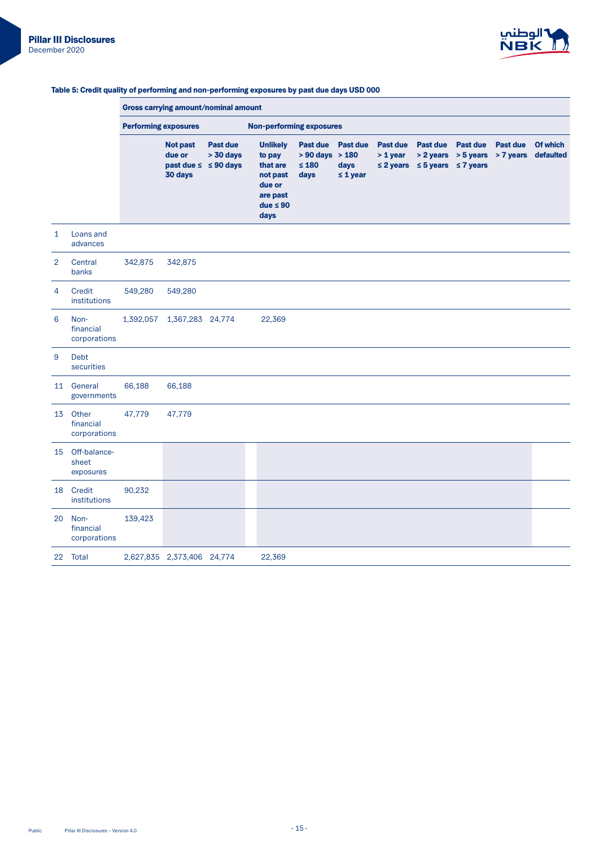

#### Gross carrying amount/nominal amount Performing exposures **performing-Non-performing** exposures **Not past** due or past due ≤ ≤ 90 days 30 days Past due  $> 30$  days Unlikely Past due Past due Past due Past due Past due Past due Of which to pay that are not past days due or are past  $due \leq 90$ days  $> 90$  days  $> 180$  $≤ 180$ days ≤ 1 year > 1 year > 2 years > 5 years > 7 years defaulted ≤ 2 years ≤ 5 years ≤ 7 years 1 Loans and advances 2 Central banks 342,875 342,875 4 Credit institutions 549,280 549,280 financial 6 Noncorporations 1,392,057 1,367,283 24,774 22,369 9 Debt securities 11 General governments 66,188 66,188 13 Other financial corporations 47,779 47,779 15 Off-balance-<br>sheet exposures 18 Credit institutions 90,232 financial 20 Noncorporations 139,423 22 Total 2,627,835 2,373,406 24,774 22,369

#### Table 5: Credit quality of performing and non-performing exposures by past due days USD 000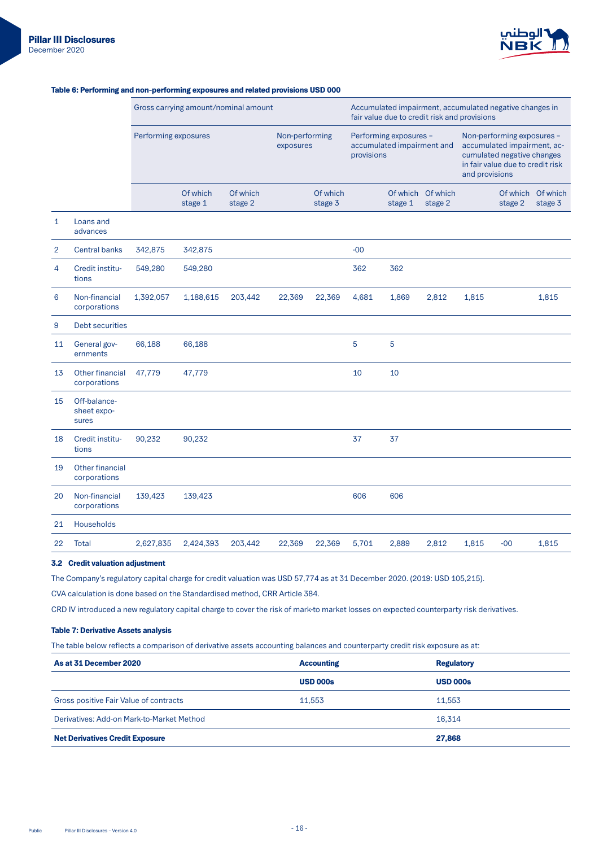

|                |                                      | Gross carrying amount/nominal amount |                     |                             |        | Accumulated impairment, accumulated negative changes in<br>fair value due to credit risk and provisions |       |                                                                                                                                               |                     |       |                     |                     |
|----------------|--------------------------------------|--------------------------------------|---------------------|-----------------------------|--------|---------------------------------------------------------------------------------------------------------|-------|-----------------------------------------------------------------------------------------------------------------------------------------------|---------------------|-------|---------------------|---------------------|
|                |                                      | Performing exposures                 |                     | Non-performing<br>exposures |        | Performing exposures -<br>accumulated impairment and<br>provisions                                      |       | Non-performing exposures -<br>accumulated impairment, ac-<br>cumulated negative changes<br>in fair value due to credit risk<br>and provisions |                     |       |                     |                     |
|                |                                      |                                      | Of which<br>stage 1 | Of which<br>stage 2         |        | Of which<br>stage 3                                                                                     |       | Of which<br>stage 1                                                                                                                           | Of which<br>stage 2 |       | Of which<br>stage 2 | Of which<br>stage 3 |
| $\mathbf{1}$   | Loans and<br>advances                |                                      |                     |                             |        |                                                                                                         |       |                                                                                                                                               |                     |       |                     |                     |
| $\overline{2}$ | <b>Central banks</b>                 | 342,875                              | 342,875             |                             |        |                                                                                                         | $-00$ |                                                                                                                                               |                     |       |                     |                     |
| 4              | Credit institu-<br>tions             | 549,280                              | 549,280             |                             |        |                                                                                                         | 362   | 362                                                                                                                                           |                     |       |                     |                     |
| 6              | Non-financial<br>corporations        | 1,392,057                            | 1,188,615           | 203,442                     | 22,369 | 22,369                                                                                                  | 4,681 | 1,869                                                                                                                                         | 2,812               | 1,815 |                     | 1,815               |
| 9              | Debt securities                      |                                      |                     |                             |        |                                                                                                         |       |                                                                                                                                               |                     |       |                     |                     |
| 11             | General gov-<br>ernments             | 66,188                               | 66,188              |                             |        |                                                                                                         | 5     | 5                                                                                                                                             |                     |       |                     |                     |
| 13             | Other financial<br>corporations      | 47,779                               | 47,779              |                             |        |                                                                                                         | 10    | 10                                                                                                                                            |                     |       |                     |                     |
| 15             | Off-balance-<br>sheet expo-<br>sures |                                      |                     |                             |        |                                                                                                         |       |                                                                                                                                               |                     |       |                     |                     |
| 18             | Credit institu-<br>tions             | 90,232                               | 90,232              |                             |        |                                                                                                         | 37    | 37                                                                                                                                            |                     |       |                     |                     |
| 19             | Other financial<br>corporations      |                                      |                     |                             |        |                                                                                                         |       |                                                                                                                                               |                     |       |                     |                     |
| 20             | Non-financial<br>corporations        | 139,423                              | 139,423             |                             |        |                                                                                                         | 606   | 606                                                                                                                                           |                     |       |                     |                     |
| 21             | Households                           |                                      |                     |                             |        |                                                                                                         |       |                                                                                                                                               |                     |       |                     |                     |
| 22             | <b>Total</b>                         | 2,627,835                            | 2,424,393           | 203,442                     | 22,369 | 22,369                                                                                                  | 5,701 | 2,889                                                                                                                                         | 2,812               | 1,815 | $-00$               | 1,815               |

## Table 6: Performing and non-performing exposures and related provisions USD 000

## 3.2 Credit valuation adjustment

The Company's regulatory capital charge for credit valuation was USD 57,774 as at 31 December 2020. (2019: USD 105,215).

CVA calculation is done based on the Standardised method, CRR Article 384.

CRD IV introduced a new regulatory capital charge to cover the risk of mark-to market losses on expected counterparty risk derivatives.

## Table 7: Derivative Assets analysis

The table below reflects a comparison of derivative assets accounting balances and counterparty credit risk exposure as at:

| As at 31 December 2020                    | <b>Accounting</b> | <b>Regulatory</b> |
|-------------------------------------------|-------------------|-------------------|
|                                           | <b>USD 000s</b>   | <b>USD 000s</b>   |
| Gross positive Fair Value of contracts    | 11.553            | 11.553            |
| Derivatives: Add-on Mark-to-Market Method |                   | 16.314            |
| <b>Net Derivatives Credit Exposure</b>    |                   | 27,868            |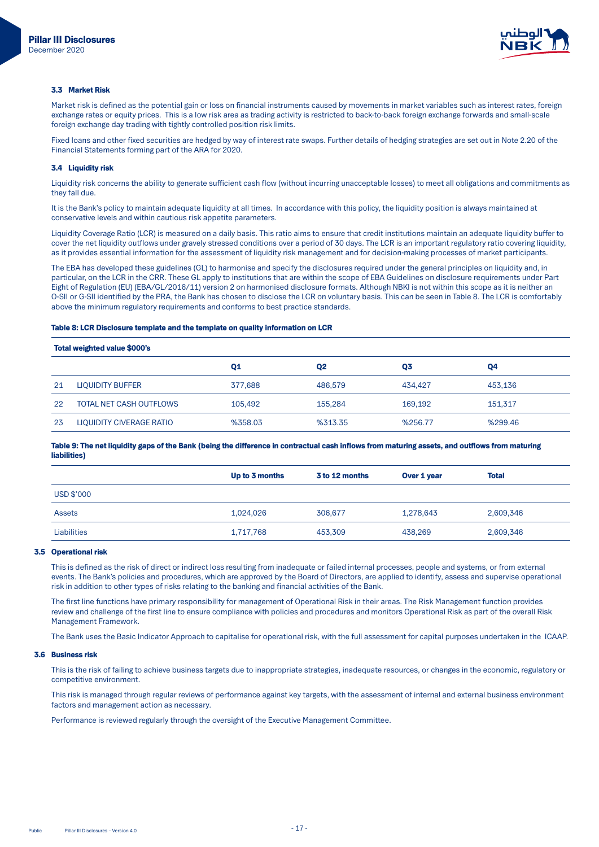

#### 3.3 Market Risk

Market risk is defined as the potential gain or loss on financial instruments caused by movements in market variables such as interest rates, foreign exchange rates or equity prices. This is a low risk area as trading activity is restricted to back-to-back foreign exchange forwards and small-scale foreign exchange day trading with tightly controlled position risk limits.

Fixed loans and other fixed securities are hedged by way of interest rate swaps. Further details of hedging strategies are set out in Note 2.20 of the Financial Statements forming part of the ARA for 2020.

### 3.4 Liquidity risk

Liquidity risk concerns the ability to generate sufficient cash flow (without incurring unacceptable losses) to meet all obligations and commitments as they fall due.

It is the Bank's policy to maintain adequate liquidity at all times. In accordance with this policy, the liquidity position is always maintained at conservative levels and within cautious risk appetite parameters

Liquidity Coverage Ratio (LCR) is measured on a daily basis. This ratio aims to ensure that credit institutions maintain an adequate liquidity buffer to cover the net liquidity outflows under gravely stressed conditions over a period of 30 days. The LCR is an important regulatory ratio covering liquidity, as it provides essential information for the assessment of liquidity risk management and for decision-making processes of market participants.

The EBA has developed these guidelines (GL) to harmonise and specify the disclosures required under the general principles on liquidity and, in particular, on the LCR in the CRR. These GL apply to institutions that are within the scope of EBA Guidelines on disclosure requirements under Part Eight of Regulation (EU) (EBA/GL/2016/11) version 2 on harmonised disclosure formats. Although NBKI is not within this scope as it is neither an O-SII or G-SII identified by the PRA, the Bank has chosen to disclose the LCR on voluntary basis. This can be seen in Table 8. The LCR is comfortably above the minimum regulatory requirements and conforms to best practice standards.

## Table 8: LCR Disclosure template and the template on quality information on LCR

| Total weighted value \$000's |                                |                |                |         |         |
|------------------------------|--------------------------------|----------------|----------------|---------|---------|
|                              |                                | Q <sub>1</sub> | Q <sub>2</sub> | Q3      | Q4      |
| 21                           | <b>LIQUIDITY BUFFER</b>        | 377.688        | 486,579        | 434.427 | 453.136 |
| 22                           | <b>TOTAL NET CASH OUTFLOWS</b> | 105,492        | 155.284        | 169.192 | 151,317 |
| 23                           | LIQUIDITY CIVERAGE RATIO       | %358.03        | %313.35        | %256.77 | %299.46 |

Table 9: The net liquidity gaps of the Bank (being the difference in contractual cash inflows from maturing assets, and outflows from maturing (liabilities)

|                    | Up to 3 months | 3 to 12 months | Over 1 year | <b>Total</b> |
|--------------------|----------------|----------------|-------------|--------------|
| USD \$'000         |                |                |             |              |
| <b>Assets</b>      | 1,024,026      | 306,677        | 1,278,643   | 2,609,346    |
| <b>Liabilities</b> | 1,717,768      | 453,309        | 438.269     | 2,609,346    |

## 3.5 Operational risk

This is defined as the risk of direct or indirect loss resulting from inadequate or failed internal processes, people and systems, or from external events. The Bank's policies and procedures, which are approved by the Board of Directors, are applied to identify, assess and supervise operational risk in addition to other types of risks relating to the banking and financial activities of the Bank.

The first line functions have primary responsibility for management of Operational Risk in their areas. The Risk Management function provides review and challenge of the first line to ensure compliance with policies and procedures and monitors Operational Risk as part of the overall Risk Management Framework

The Bank uses the Basic Indicator Approach to capitalise for operational risk, with the full assessment for capital purposes undertaken in the ICAAP.

#### 3.6 Business risk

This is the risk of failing to achieve business targets due to inappropriate strategies, inadequate resources, or changes in the economic, regulatory or competitive environment.

This risk is managed through regular reviews of performance against key targets, with the assessment of internal and external business environment factors and management action as necessary

Performance is reviewed regularly through the oversight of the Executive Management Committee.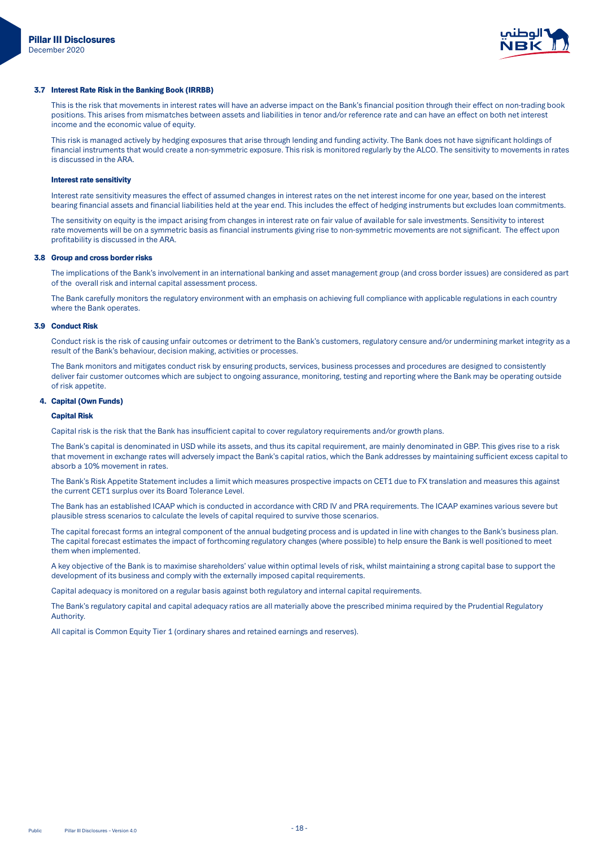

#### 3.7 Interest Rate Risk in the Banking Book (IRRBB)

This is the risk that movements in interest rates will have an adverse impact on the Bank's financial position through their effect on non-trading book positions. This arises from mismatches between assets and liabilities in tenor and/or reference rate and can have an effect on both net interest income and the economic value of equity.

This risk is managed actively by hedging exposures that arise through lending and funding activity. The Bank does not have significant holdings of financial instruments that would create a non-symmetric exposure. This risk is monitored regularly by the ALCO. The sensitivity to movements in rates is discussed in the ARA

#### Interest rate sensitivity

Interest rate sensitivity measures the effect of assumed changes in interest rates on the net interest income for one year, based on the interest bearing financial assets and financial liabilities held at the year end. This includes the effect of hedging instruments but excludes loan commitments.

The sensitivity on equity is the impact arising from changes in interest rate on fair value of available for sale investments. Sensitivity to interest rate movements will be on a symmetric basis as financial instruments giving rise to non-symmetric movements are not significant. The effect upon profitability is discussed in the ARA.

#### 3.8 Group and cross border risks

The implications of the Bank's involvement in an international banking and asset management group (and cross border issues) are considered as part of the overall risk and internal capital assessment process.

The Bank carefully monitors the regulatory environment with an emphasis on achieving full compliance with applicable regulations in each country where the Bank operates.

#### **3.9 Conduct Risk**

Conduct risk is the risk of causing unfair outcomes or detriment to the Bank's customers, regulatory censure and/or undermining market integrity as a result of the Bank's behaviour, decision making, activities or processes.

The Bank monitors and mitigates conduct risk by ensuring products, services, business processes and procedures are designed to consistently deliver fair customer outcomes which are subject to ongoing assurance, monitoring, testing and reporting where the Bank may be operating outside of risk appetite.

## 4. Capital (Own Funds)

## **Capital Risk**

Capital risk is the risk that the Bank has insufficient capital to cover regulatory requirements and/or growth plans.

The Bank's capital is denominated in USD while its assets, and thus its capital requirement, are mainly denominated in GBP. This gives rise to a risk that movement in exchange rates will adversely impact the Bank's capital ratios, which the Bank addresses by maintaining sufficient excess capital to absorb a 10% movement in rates.

The Bank's Risk Appetite Statement includes a limit which measures prospective impacts on CET1 due to FX translation and measures this against the current CET1 surplus over its Board Tolerance Level.

The Bank has an established ICAAP which is conducted in accordance with CRD IV and PRA requirements. The ICAAP examines various severe but plausible stress scenarios to calculate the levels of capital required to survive those scenarios.

The capital forecast forms an integral component of the annual budgeting process and is updated in line with changes to the Bank's business plan. The capital forecast estimates the impact of forthcoming regulatory changes (where possible) to help ensure the Bank is well positioned to meet them when implemented.

A key objective of the Bank is to maximise shareholders' value within optimal levels of risk, whilst maintaining a strong capital base to support the development of its business and comply with the externally imposed capital requirements.

Capital adequacy is monitored on a regular basis against both regulatory and internal capital requirements.

The Bank's regulatory capital and capital adequacy ratios are all materially above the prescribed minima required by the Prudential Regulatory Authority.

All capital is Common Equity Tier 1 (ordinary shares and retained earnings and reserves).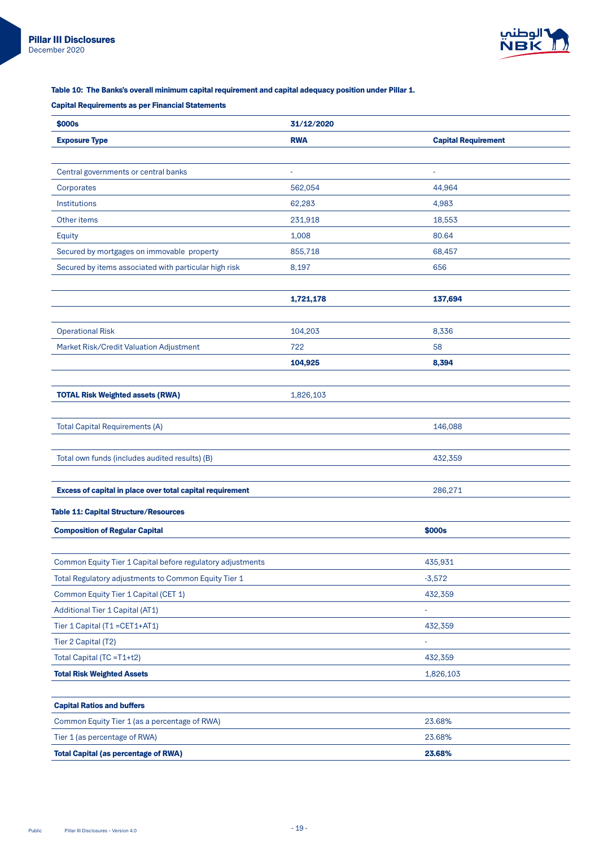

## Table 10: The Banks's overall minimum capital requirement and capital adequacy position under Pillar 1.

# **Capital Requirements as per Financial Statements**

| \$000s                                                     | 31/12/2020 |                            |
|------------------------------------------------------------|------------|----------------------------|
| <b>Exposure Type</b>                                       | <b>RWA</b> | <b>Capital Requirement</b> |
|                                                            |            |                            |
| Central governments or central banks                       | ۰          | ٠                          |
| Corporates                                                 | 562,054    | 44,964                     |
| Institutions                                               | 62,283     | 4,983                      |
| Other items                                                | 231,918    | 18,553                     |
| Equity                                                     | 1,008      | 80.64                      |
| Secured by mortgages on immovable property                 | 855,718    | 68,457                     |
| Secured by items associated with particular high risk      | 8,197      | 656                        |
|                                                            |            |                            |
|                                                            | 1,721,178  | 137,694                    |
|                                                            |            |                            |
| <b>Operational Risk</b>                                    | 104,203    | 8,336                      |
| Market Risk/Credit Valuation Adjustment                    | 722        | 58                         |
|                                                            | 104,925    | 8,394                      |
|                                                            |            |                            |
| <b>TOTAL Risk Weighted assets (RWA)</b>                    | 1,826,103  |                            |
|                                                            |            |                            |
| <b>Total Capital Requirements (A)</b>                      |            | 146,088                    |
|                                                            |            |                            |
| Total own funds (includes audited results) (B)             |            | 432,359                    |
|                                                            |            |                            |
| Excess of capital in place over total capital requirement  |            | 286,271                    |
| <b>Table 11: Capital Structure/Resources</b>               |            |                            |
| <b>Composition of Regular Capital</b>                      |            | \$000s                     |
|                                                            |            |                            |
| Common Equity Tier 1 Capital before regulatory adjustments |            | 435,931                    |
| Total Regulatory adjustments to Common Equity Tier 1       |            | $-3,572$                   |
| Common Equity Tier 1 Capital (CET 1)                       |            | 432,359                    |
| Additional Tier 1 Capital (AT1)                            |            |                            |
| Tier 1 Capital (T1 = CET1+AT1)                             |            | 432,359                    |
| Tier 2 Capital (T2)                                        |            |                            |
| Total Capital (TC =T1+t2)                                  |            | 432,359                    |
| <b>Total Risk Weighted Assets</b>                          |            | 1,826,103                  |
|                                                            |            |                            |
| <b>Capital Ratios and buffers</b>                          |            |                            |
| Common Equity Tier 1 (as a percentage of RWA)              |            | 23.68%                     |
| Tier 1 (as percentage of RWA)                              |            | 23.68%                     |
| <b>Total Capital (as percentage of RWA)</b>                |            | 23.68%                     |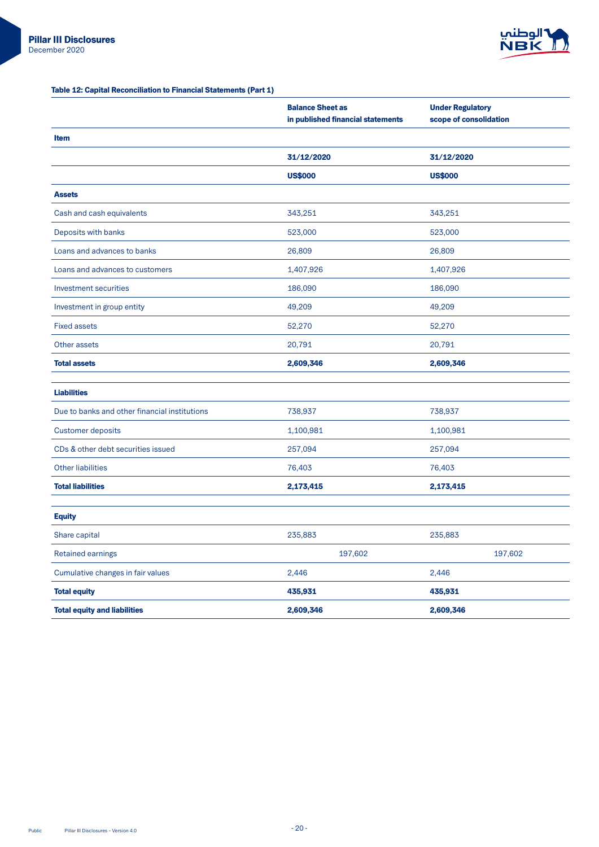

## Table 12: Capital Reconciliation to Financial Statements (Part 1)

|                                               | <b>Balance Sheet as</b><br>in published financial statements | <b>Under Regulatory</b><br>scope of consolidation |
|-----------------------------------------------|--------------------------------------------------------------|---------------------------------------------------|
| <b>Item</b>                                   |                                                              |                                                   |
|                                               | 31/12/2020                                                   | 31/12/2020                                        |
|                                               | <b>US\$000</b>                                               | <b>US\$000</b>                                    |
| <b>Assets</b>                                 |                                                              |                                                   |
| Cash and cash equivalents                     | 343,251                                                      | 343,251                                           |
| Deposits with banks                           | 523,000                                                      | 523,000                                           |
| Loans and advances to banks                   | 26,809                                                       | 26,809                                            |
| Loans and advances to customers               | 1,407,926                                                    | 1,407,926                                         |
| Investment securities                         | 186,090                                                      | 186,090                                           |
| Investment in group entity                    | 49,209                                                       | 49,209                                            |
| <b>Fixed assets</b>                           | 52,270                                                       | 52,270                                            |
| Other assets                                  | 20,791                                                       | 20,791                                            |
| <b>Total assets</b>                           | 2,609,346                                                    | 2,609,346                                         |
| <b>Liabilities</b>                            |                                                              |                                                   |
| Due to banks and other financial institutions | 738,937                                                      | 738,937                                           |
| <b>Customer deposits</b>                      | 1,100,981                                                    | 1,100,981                                         |
| CDs & other debt securities issued            | 257,094                                                      | 257,094                                           |
|                                               |                                                              |                                                   |
| <b>Other liabilities</b>                      | 76,403                                                       | 76,403                                            |
| <b>Total liabilities</b>                      | 2,173,415                                                    | 2,173,415                                         |
| <b>Equity</b>                                 |                                                              |                                                   |
| Share capital                                 | 235,883                                                      | 235,883                                           |
| Retained earnings                             | 197,602                                                      | 197,602                                           |
| Cumulative changes in fair values             | 2,446                                                        | 2,446                                             |
| <b>Total equity</b>                           | 435,931                                                      | 435,931                                           |
| <b>Total equity and liabilities</b>           | 2,609,346                                                    | 2,609,346                                         |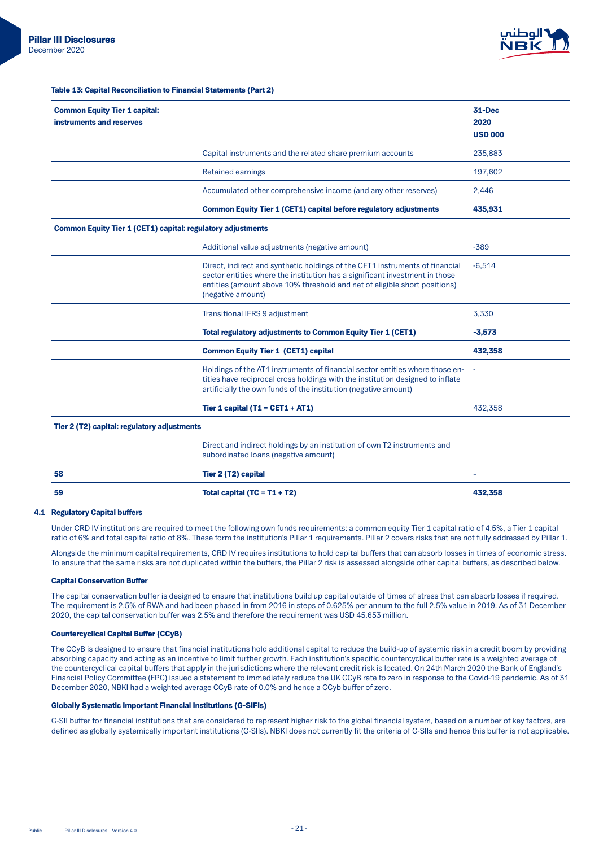

Table 13: Capital Reconciliation to Financial Statements (Part 2)

| <b>Common Equity Tier 1 capital:</b><br>instruments and reserves   |                                                                                                                                                                                                                                                               | 31-Dec<br>2020<br><b>USD 000</b> |
|--------------------------------------------------------------------|---------------------------------------------------------------------------------------------------------------------------------------------------------------------------------------------------------------------------------------------------------------|----------------------------------|
|                                                                    | Capital instruments and the related share premium accounts                                                                                                                                                                                                    | 235,883                          |
|                                                                    | <b>Retained earnings</b>                                                                                                                                                                                                                                      | 197,602                          |
|                                                                    | Accumulated other comprehensive income (and any other reserves)                                                                                                                                                                                               | 2,446                            |
|                                                                    | <b>Common Equity Tier 1 (CET1) capital before regulatory adjustments</b>                                                                                                                                                                                      | 435,931                          |
| <b>Common Equity Tier 1 (CET1) capital: regulatory adjustments</b> |                                                                                                                                                                                                                                                               |                                  |
|                                                                    | Additional value adjustments (negative amount)                                                                                                                                                                                                                | $-389$                           |
|                                                                    | Direct, indirect and synthetic holdings of the CET1 instruments of financial<br>sector entities where the institution has a significant investment in those<br>entities (amount above 10% threshold and net of eligible short positions)<br>(negative amount) | $-6,514$                         |
|                                                                    | <b>Transitional IFRS 9 adjustment</b>                                                                                                                                                                                                                         | 3,330                            |
|                                                                    | <b>Total regulatory adjustments to Common Equity Tier 1 (CET1)</b>                                                                                                                                                                                            | $-3,573$                         |
|                                                                    | <b>Common Equity Tier 1 (CET1) capital</b>                                                                                                                                                                                                                    | 432,358                          |
|                                                                    | Holdings of the AT1 instruments of financial sector entities where those en-<br>tities have reciprocal cross holdings with the institution designed to inflate<br>artificially the own funds of the institution (negative amount)                             |                                  |
|                                                                    | Tier 1 capital (T1 = CET1 + AT1)                                                                                                                                                                                                                              | 432,358                          |
| Tier 2 (T2) capital: regulatory adjustments                        |                                                                                                                                                                                                                                                               |                                  |
|                                                                    | Direct and indirect holdings by an institution of own T2 instruments and<br>subordinated loans (negative amount)                                                                                                                                              |                                  |
| 58                                                                 | Tier 2 (T2) capital                                                                                                                                                                                                                                           |                                  |
| 59                                                                 | Total capital (TC = $T1 + T2$ )                                                                                                                                                                                                                               | 432,358                          |

#### **4.1 Regulatory Capital buffers**

Under CRD IV institutions are required to meet the following own funds requirements: a common equity Tier 1 capital ratio of 4.5%, a Tier 1 capital ratio of 6% and total capital ratio of 8%. These form the institution's Pillar 1 requirements. Pillar 2 covers risks that are not fully addressed by Pillar 1.

Alongside the minimum capital requirements, CRD IV requires institutions to hold capital buffers that can absorb losses in times of economic stress. To ensure that the same risks are not duplicated within the buffers, the Pillar 2 risk is assessed alongside other capital buffers, as described below.

#### **Capital Conservation Buffer**

The capital conservation buffer is designed to ensure that institutions build up capital outside of times of stress that can absorb losses if required. The requirement is 2.5% of RWA and had been phased in from 2016 in steps of 0.625% per annum to the full 2.5% value in 2019. As of 31 December 2020, the capital conservation buffer was 2.5% and therefore the requirement was USD 45.653 million.

### **Countercyclical Capital Buffer (CCyB)**

The CCyB is designed to ensure that financial institutions hold additional capital to reduce the build-up of systemic risk in a credit boom by providing absorbing capacity and acting as an incentive to limit further growth. Each institution's specific countercyclical buffer rate is a weighted average of the countercyclical capital buffers that apply in the jurisdictions where the relevant credit risk is located. On 24th March 2020 the Bank of England's Financial Policy Committee (FPC) issued a statement to immediately reduce the UK CCyB rate to zero in response to the Covid-19 pandemic. As of 31 December 2020, NBKI had a weighted average CCyB rate of 0.0% and hence a CCyb buffer of zero.

### Globally Systematic Important Financial Institutions (G-SIFIs)

G-SII buffer for financial institutions that are considered to represent higher risk to the global financial system, based on a number of key factors, are defined as globally systemically important institutions (G-SIIs). NBKI does not currently fit the criteria of G-SIIs and hence this buffer is not applicable.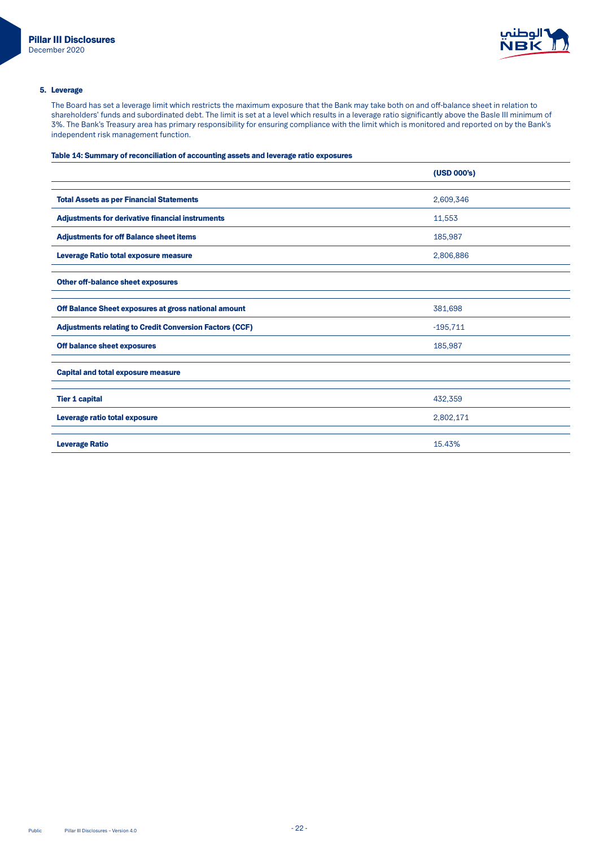

## 5. Leverage

The Board has set a leverage limit which restricts the maximum exposure that the Bank may take both on and off-balance sheet in relation to shareholders' funds and subordinated debt. The limit is set at a level which results in a leverage ratio significantly above the Basle III minimum of 3%. The Bank's Treasury area has primary responsibility for ensuring compliance with the limit which is monitored and reported on by the Bank's independent risk management function.

## Table 14: Summary of reconciliation of accounting assets and leverage ratio exposures

|                                                                | (USD 000's) |
|----------------------------------------------------------------|-------------|
|                                                                |             |
| <b>Total Assets as per Financial Statements</b>                | 2,609,346   |
| <b>Adjustments for derivative financial instruments</b>        | 11,553      |
| <b>Adjustments for off Balance sheet items</b>                 | 185,987     |
| Leverage Ratio total exposure measure                          | 2,806,886   |
| Other off-balance sheet exposures                              |             |
| Off Balance Sheet exposures at gross national amount           | 381,698     |
| <b>Adjustments relating to Credit Conversion Factors (CCF)</b> | $-195,711$  |
| Off balance sheet exposures                                    | 185,987     |
| <b>Capital and total exposure measure</b>                      |             |
| <b>Tier 1 capital</b>                                          | 432,359     |
| Leverage ratio total exposure                                  | 2,802,171   |
| <b>Leverage Ratio</b>                                          | 15.43%      |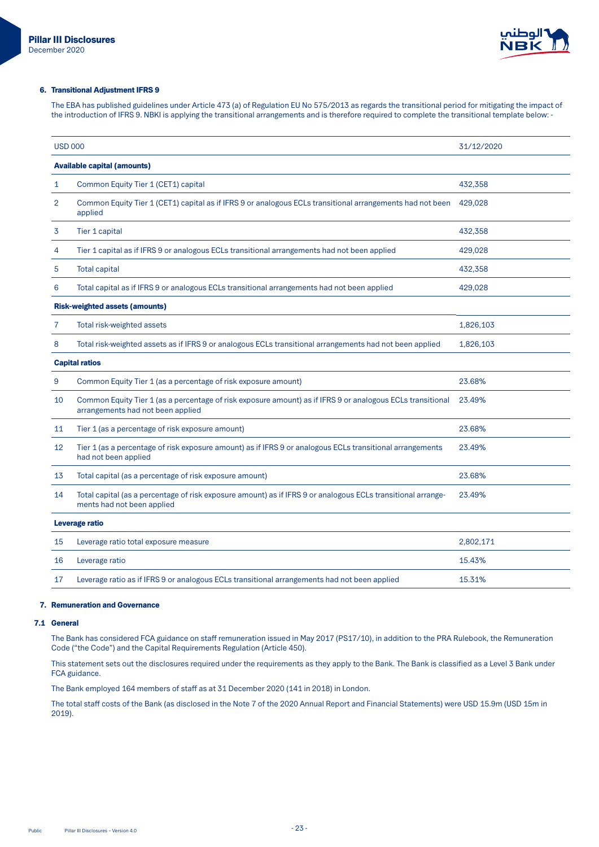

### 6. Transitional Adjustment IFRS 9

The EBA has published guidelines under Article 473 (a) of Regulation EU No 575/2013 as regards the transitional period for mitigating the impact of the introduction of IFRS 9. NBKI is applying the transitional arrangements and is therefore required to complete the transitional template below: -

| <b>USD 000</b> |                                                                                                                                                 | 31/12/2020 |
|----------------|-------------------------------------------------------------------------------------------------------------------------------------------------|------------|
|                | <b>Available capital (amounts)</b>                                                                                                              |            |
| 1              | Common Equity Tier 1 (CET1) capital                                                                                                             | 432,358    |
| 2              | Common Equity Tier 1 (CET1) capital as if IFRS 9 or analogous ECLs transitional arrangements had not been<br>applied                            | 429,028    |
| 3              | Tier 1 capital                                                                                                                                  | 432,358    |
| 4              | Tier 1 capital as if IFRS 9 or analogous ECLs transitional arrangements had not been applied                                                    | 429,028    |
| 5              | <b>Total capital</b>                                                                                                                            | 432,358    |
| 6              | Total capital as if IFRS 9 or analogous ECLs transitional arrangements had not been applied                                                     | 429,028    |
|                | <b>Risk-weighted assets (amounts)</b>                                                                                                           |            |
| 7              | Total risk-weighted assets                                                                                                                      | 1,826,103  |
| 8              | Total risk-weighted assets as if IFRS 9 or analogous ECLs transitional arrangements had not been applied                                        | 1,826,103  |
|                | <b>Capital ratios</b>                                                                                                                           |            |
| 9              | Common Equity Tier 1 (as a percentage of risk exposure amount)                                                                                  | 23.68%     |
| 10             | Common Equity Tier 1 (as a percentage of risk exposure amount) as if IFRS 9 or analogous ECLs transitional<br>arrangements had not been applied | 23.49%     |
| 11             | Tier 1 (as a percentage of risk exposure amount)                                                                                                | 23.68%     |
| 12             | Tier 1 (as a percentage of risk exposure amount) as if IFRS 9 or analogous ECLs transitional arrangements<br>had not been applied               | 23.49%     |
| 13             | Total capital (as a percentage of risk exposure amount)                                                                                         | 23.68%     |
| 14             | Total capital (as a percentage of risk exposure amount) as if IFRS 9 or analogous ECLs transitional arrange-<br>ments had not been applied      | 23.49%     |
|                | Leverage ratio                                                                                                                                  |            |
| 15             | Leverage ratio total exposure measure                                                                                                           | 2,802,171  |
| 16             | Leverage ratio                                                                                                                                  | 15.43%     |
| 17             | Leverage ratio as if IFRS 9 or analogous ECLs transitional arrangements had not been applied                                                    | 15.31%     |
|                |                                                                                                                                                 |            |

## 7. Remuneration and Governance

#### **7.1 General**

The Bank has considered FCA guidance on staff remuneration issued in May 2017 (PS17/10), in addition to the PRA Rulebook, the Remuneration Code ("the Code") and the Capital Requirements Regulation (Article 450).

This statement sets out the disclosures required under the requirements as they apply to the Bank. The Bank is classified as a Level 3 Bank under FCA guidance.

The Bank employed 164 members of staff as at 31 December 2020 (141 in 2018) in London.

The total staff costs of the Bank (as disclosed in the Note 7 of the 2020 Annual Report and Financial Statements) were USD 15.9m (USD 15m in 2019).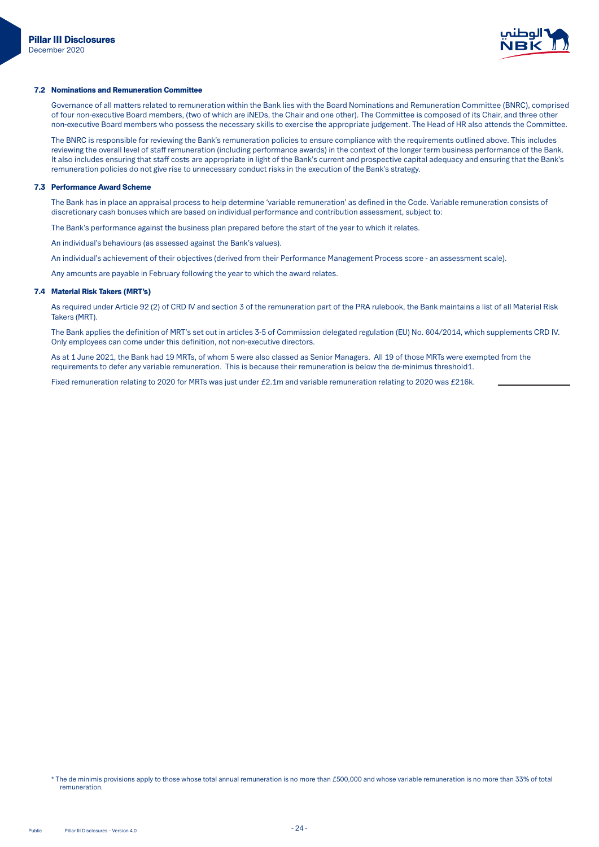

## 7.2 Nominations and Remuneration Committee

Governance of all matters related to remuneration within the Bank lies with the Board Nominations and Remuneration Committee (BNRC), comprised of four non-executive Board members, (two of which are iNEDs, the Chair and one other). The Committee is composed of its Chair, and three other non-executive Board members who possess the necessary skills to exercise the appropriate judgement. The Head of HR also attends the Committee.

The BNRC is responsible for reviewing the Bank's remuneration policies to ensure compliance with the requirements outlined above. This includes reviewing the overall level of staff remuneration (including performance awards) in the context of the longer term business performance of the Bank. It also includes ensuring that staff costs are appropriate in light of the Bank's current and prospective capital adequacy and ensuring that the Bank's remuneration policies do not give rise to unnecessary conduct risks in the execution of the Bank's strategy.

### **7.3 Performance Award Scheme**

The Bank has in place an appraisal process to help determine 'variable remuneration' as defined in the Code. Variable remuneration consists of discretionary cash bonuses which are based on individual performance and contribution assessment, subject to:

The Bank's performance against the business plan prepared before the start of the year to which it relates.

An individual's behaviours (as assessed against the Bank's values).

An individual's achievement of their objectives (derived from their Performance Management Process score - an assessment scale).

Any amounts are payable in February following the year to which the award relates.

## 7.4 Material Risk Takers (MRT's)

As required under Article 92 (2) of CRD IV and section 3 of the remuneration part of the PRA rulebook, the Bank maintains a list of all Material Risk Takers (MRT).

The Bank applies the definition of MRT's set out in articles 3-5 of Commission delegated regulation (EU) No. 604/2014, which supplements CRD IV. . Only employees can come under this definition, not non-executive directors.

As at 1 June 2021, the Bank had 19 MRTs, of whom 5 were also classed as Senior Managers. All 19 of those MRTs were exempted from the requirements to defer any variable remuneration. This is because their remuneration is below the de-minimus threshold1.

Fixed remuneration relating to 2020 for MRTs was just under £2.1m and variable remuneration relating to 2020 was £216k.

<sup>\*</sup> The de minimis provisions apply to those whose total annual remuneration is no more than £500,000 and whose variable remuneration is no more than 33% of total .remuneration